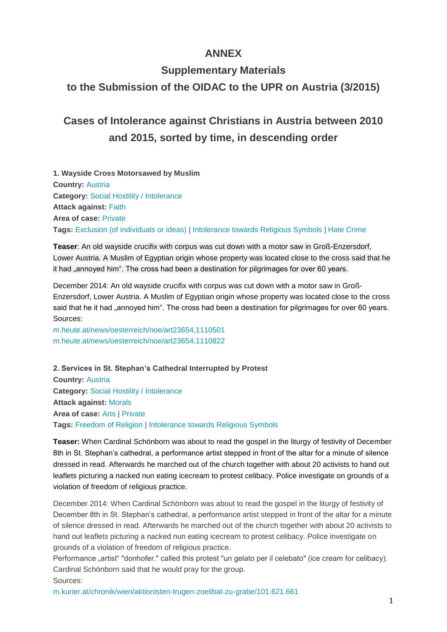# **ANNEX**

# **Supplementary Materials**

# **to the Submission of the OIDAC to the UPR on Austria (3/2015)**

# **Cases of Intolerance against Christians in Austria between 2010 and 2015, sorted by time, in descending order**

**1. Wayside Cross Motorsawed by Muslim Country:** [Austria](http://www.intoleranceagainstchristians.eu/case.html?user_extmininews_pi1%5Bcountryid%5D=2) **Category:** [Social Hostility / Intolerance](http://www.intoleranceagainstchristians.eu/case.html?user_extmininews_pi1%5Bfiltertype%5D=0&user_extmininews_pi1%5Bfilteruid%5D=1) **Attack against:** [Faith](http://www.intoleranceagainstchristians.eu/case.html?user_extmininews_pi1%5Bfiltertype%5D=1&user_extmininews_pi1%5Bfilteruid%5D=1) **Area of case:** [Private](http://www.intoleranceagainstchristians.eu/case.html?user_extmininews_pi1%5Bfiltertype%5D=2&user_extmininews_pi1%5Bfilteruid%5D=2) **Tags:** [Exclusion \(of individuals or ideas\)](http://www.intoleranceagainstchristians.eu/case.html?user_extmininews_pi1%5Bfiltertype%5D=3&user_extmininews_pi1%5Bfilteruid%5D=23) | [Intolerance towards Religious Symbols](http://www.intoleranceagainstchristians.eu/case.html?user_extmininews_pi1%5Bfiltertype%5D=3&user_extmininews_pi1%5Bfilteruid%5D=8) | [Hate Crime](http://www.intoleranceagainstchristians.eu/case.html?user_extmininews_pi1%5Bfiltertype%5D=3&user_extmininews_pi1%5Bfilteruid%5D=14)

**Teaser**: An old wayside crucifix with corpus was cut down with a motor saw in Groß-Enzersdorf, Lower Austria. A Muslim of Egyptian origin whose property was located close to the cross said that he it had "annoyed him". The cross had been a destination for pilgrimages for over 60 years.

December 2014: An old wayside crucifix with corpus was cut down with a motor saw in Groß-Enzersdorf, Lower Austria. A Muslim of Egyptian origin whose property was located close to the cross said that he it had "annoyed him". The cross had been a destination for pilgrimages for over 60 years. Sources:

[m.heute.at/news/oesterreich/noe/art23654,1110501](http://m.heute.at/news/oesterreich/noe/art23654,1110501) [m.heute.at/news/oesterreich/noe/art23654,1110822](http://m.heute.at/news/oesterreich/noe/art23654,1110822)

**2. Services in St. Stephan's Cathedral Interrupted by Protest Country:** [Austria](http://www.intoleranceagainstchristians.eu/case.html?user_extmininews_pi1%5Bcountryid%5D=2) **Category:** [Social Hostility / Intolerance](http://www.intoleranceagainstchristians.eu/case.html?user_extmininews_pi1%5Bfiltertype%5D=0&user_extmininews_pi1%5Bfilteruid%5D=1) **Attack against:** [Morals](http://www.intoleranceagainstchristians.eu/case.html?user_extmininews_pi1%5Bfiltertype%5D=1&user_extmininews_pi1%5Bfilteruid%5D=2) **Area of case:** [Arts](http://www.intoleranceagainstchristians.eu/case.html?user_extmininews_pi1%5Bfiltertype%5D=2&user_extmininews_pi1%5Bfilteruid%5D=6) | [Private](http://www.intoleranceagainstchristians.eu/case.html?user_extmininews_pi1%5Bfiltertype%5D=2&user_extmininews_pi1%5Bfilteruid%5D=2) **Tags:** [Freedom of Religion](http://www.intoleranceagainstchristians.eu/case.html?user_extmininews_pi1%5Bfiltertype%5D=3&user_extmininews_pi1%5Bfilteruid%5D=5) | [Intolerance towards Religious Symbols](http://www.intoleranceagainstchristians.eu/case.html?user_extmininews_pi1%5Bfiltertype%5D=3&user_extmininews_pi1%5Bfilteruid%5D=8)

**Teaser:** When Cardinal Schönborn was about to read the gospel in the liturgy of festivity of December 8th in St. Stephan's cathedral, a performance artist stepped in front of the altar for a minute of silence dressed in read. Afterwards he marched out of the church together with about 20 activists to hand out leaflets picturing a nacked nun eating icecream to protest celibacy. Police investigate on grounds of a violation of freedom of religious practice.

December 2014: When Cardinal Schönborn was about to read the gospel in the liturgy of festivity of December 8th in St. Stephan's cathedral, a performance artist stepped in front of the altar for a minute of silence dressed in read. Afterwards he marched out of the church together with about 20 activists to hand out leaflets picturing a nacked nun eating icecream to protest celibacy. Police investigate on grounds of a violation of freedom of religious practice.

Performance "artist" "donhofer." called this protest "un gelato per il celebato" (ice cream for celibacy). Cardinal Schönborn said that he would pray for the group. Sources:

[m.kurier.at/chronik/wien/aktionisten-trugen-zoelibat-zu-grabe/101.621.661](http://m.kurier.at/chronik/wien/aktionisten-trugen-zoelibat-zu-grabe/101.621.661)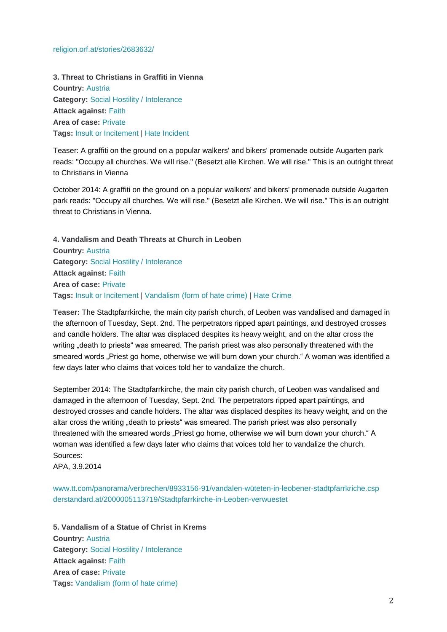#### [religion.orf.at/stories/2683632/](http://religion.orf.at/stories/2683632/)

**3. Threat to Christians in Graffiti in Vienna Country:** [Austria](http://www.intoleranceagainstchristians.eu/case.html?user_extmininews_pi1%5Bcountryid%5D=2) **Category:** [Social Hostility / Intolerance](http://www.intoleranceagainstchristians.eu/case.html?user_extmininews_pi1%5Bfiltertype%5D=0&user_extmininews_pi1%5Bfilteruid%5D=1) **Attack against:** [Faith](http://www.intoleranceagainstchristians.eu/case.html?user_extmininews_pi1%5Bfiltertype%5D=1&user_extmininews_pi1%5Bfilteruid%5D=1) **Area of case:** [Private](http://www.intoleranceagainstchristians.eu/case.html?user_extmininews_pi1%5Bfiltertype%5D=2&user_extmininews_pi1%5Bfilteruid%5D=2) **Tags:** [Insult or Incitement](http://www.intoleranceagainstchristians.eu/case.html?user_extmininews_pi1%5Bfiltertype%5D=3&user_extmininews_pi1%5Bfilteruid%5D=15) | [Hate Incident](http://www.intoleranceagainstchristians.eu/case.html?user_extmininews_pi1%5Bfiltertype%5D=3&user_extmininews_pi1%5Bfilteruid%5D=13)

Teaser: A graffiti on the ground on a popular walkers' and bikers' promenade outside Augarten park reads: "Occupy all churches. We will rise." (Besetzt alle Kirchen. We will rise." This is an outright threat to Christians in Vienna

October 2014: A graffiti on the ground on a popular walkers' and bikers' promenade outside Augarten park reads: "Occupy all churches. We will rise." (Besetzt alle Kirchen. We will rise." This is an outright threat to Christians in Vienna.

**4. Vandalism and Death Threats at Church in Leoben Country:** [Austria](http://www.intoleranceagainstchristians.eu/case.html?user_extmininews_pi1%5Bcountryid%5D=2) **Category:** [Social Hostility / Intolerance](http://www.intoleranceagainstchristians.eu/case.html?user_extmininews_pi1%5Bfiltertype%5D=0&user_extmininews_pi1%5Bfilteruid%5D=1) **Attack against:** [Faith](http://www.intoleranceagainstchristians.eu/case.html?user_extmininews_pi1%5Bfiltertype%5D=1&user_extmininews_pi1%5Bfilteruid%5D=1) **Area of case:** [Private](http://www.intoleranceagainstchristians.eu/case.html?user_extmininews_pi1%5Bfiltertype%5D=2&user_extmininews_pi1%5Bfilteruid%5D=2) **Tags:** [Insult or Incitement](http://www.intoleranceagainstchristians.eu/case.html?user_extmininews_pi1%5Bfiltertype%5D=3&user_extmininews_pi1%5Bfilteruid%5D=15) | [Vandalism \(form of hate crime\)](http://www.intoleranceagainstchristians.eu/case.html?user_extmininews_pi1%5Bfiltertype%5D=3&user_extmininews_pi1%5Bfilteruid%5D=20) | [Hate Crime](http://www.intoleranceagainstchristians.eu/case.html?user_extmininews_pi1%5Bfiltertype%5D=3&user_extmininews_pi1%5Bfilteruid%5D=14)

**Teaser:** The Stadtpfarrkirche, the main city parish church, of Leoben was vandalised and damaged in the afternoon of Tuesday, Sept. 2nd. The perpetrators ripped apart paintings, and destroyed crosses and candle holders. The altar was displaced despites its heavy weight, and on the altar cross the writing "death to priests" was smeared. The parish priest was also personally threatened with the smeared words "Priest go home, otherwise we will burn down your church." A woman was identified a few days later who claims that voices told her to vandalize the church.

September 2014: The Stadtpfarrkirche, the main city parish church, of Leoben was vandalised and damaged in the afternoon of Tuesday, Sept. 2nd. The perpetrators ripped apart paintings, and destroyed crosses and candle holders. The altar was displaced despites its heavy weight, and on the altar cross the writing "death to priests" was smeared. The parish priest was also personally threatened with the smeared words "Priest go home, otherwise we will burn down your church." A woman was identified a few days later who claims that voices told her to vandalize the church. Sources:

APA, 3.9.2014

[www.tt.com/panorama/verbrechen/8933156-91/vandalen-wüteten-in-leobener-stadtpfarrkriche.csp](http://www.tt.com/panorama/verbrechen/8933156-91/vandalen-w%C3%BCteten-in-leobener-stadtpfarrkriche.csp) [derstandard.at/2000005113719/Stadtpfarrkirche-in-Leoben-verwuestet](http://derstandard.at/2000005113719/Stadtpfarrkirche-in-Leoben-verwuestet)

**5. Vandalism of a Statue of Christ in Krems Country:** [Austria](http://www.intoleranceagainstchristians.eu/case.html?user_extmininews_pi1%5Bcountryid%5D=2) **Category:** [Social Hostility / Intolerance](http://www.intoleranceagainstchristians.eu/case.html?user_extmininews_pi1%5Bfiltertype%5D=0&user_extmininews_pi1%5Bfilteruid%5D=1) **Attack against:** [Faith](http://www.intoleranceagainstchristians.eu/case.html?user_extmininews_pi1%5Bfiltertype%5D=1&user_extmininews_pi1%5Bfilteruid%5D=1) **Area of case:** [Private](http://www.intoleranceagainstchristians.eu/case.html?user_extmininews_pi1%5Bfiltertype%5D=2&user_extmininews_pi1%5Bfilteruid%5D=2) **Tags:** [Vandalism \(form of hate crime\)](http://www.intoleranceagainstchristians.eu/case.html?user_extmininews_pi1%5Bfiltertype%5D=3&user_extmininews_pi1%5Bfilteruid%5D=20)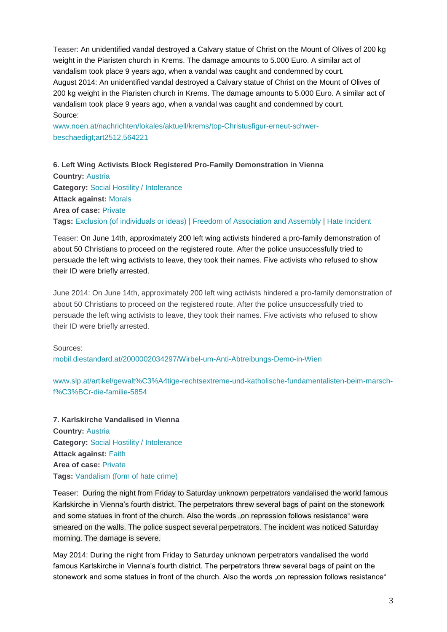Teaser: An unidentified vandal destroyed a Calvary statue of Christ on the Mount of Olives of 200 kg weight in the Piaristen church in Krems. The damage amounts to 5.000 Euro. A similar act of vandalism took place 9 years ago, when a vandal was caught and condemned by court. August 2014: An unidentified vandal destroyed a Calvary statue of Christ on the Mount of Olives of 200 kg weight in the Piaristen church in Krems. The damage amounts to 5.000 Euro. A similar act of vandalism took place 9 years ago, when a vandal was caught and condemned by court. Source:

[www.noen.at/nachrichten/lokales/aktuell/krems/top-Christusfigur-erneut-schwer](http://www.noen.at/nachrichten/lokales/aktuell/krems/top-Christusfigur-erneut-schwer-beschaedigt;art2512,564221)[beschaedigt;art2512,564221](http://www.noen.at/nachrichten/lokales/aktuell/krems/top-Christusfigur-erneut-schwer-beschaedigt;art2512,564221)

**6. Left Wing Activists Block Registered Pro-Family Demonstration in Vienna Country:** [Austria](http://www.intoleranceagainstchristians.eu/case.html?user_extmininews_pi1%5Bcountryid%5D=2) **Category:** [Social Hostility / Intolerance](http://www.intoleranceagainstchristians.eu/case.html?user_extmininews_pi1%5Bfiltertype%5D=0&user_extmininews_pi1%5Bfilteruid%5D=1) **Attack against:** [Morals](http://www.intoleranceagainstchristians.eu/case.html?user_extmininews_pi1%5Bfiltertype%5D=1&user_extmininews_pi1%5Bfilteruid%5D=2) **Area of case:** [Private](http://www.intoleranceagainstchristians.eu/case.html?user_extmininews_pi1%5Bfiltertype%5D=2&user_extmininews_pi1%5Bfilteruid%5D=2) **Tags:** [Exclusion \(of individuals or ideas\)](http://www.intoleranceagainstchristians.eu/case.html?user_extmininews_pi1%5Bfiltertype%5D=3&user_extmininews_pi1%5Bfilteruid%5D=23) | [Freedom of Association and Assembly](http://www.intoleranceagainstchristians.eu/case.html?user_extmininews_pi1%5Bfiltertype%5D=3&user_extmininews_pi1%5Bfilteruid%5D=21) | [Hate Incident](http://www.intoleranceagainstchristians.eu/case.html?user_extmininews_pi1%5Bfiltertype%5D=3&user_extmininews_pi1%5Bfilteruid%5D=13)

Teaser: On June 14th, approximately 200 left wing activists hindered a pro-family demonstration of about 50 Christians to proceed on the registered route. After the police unsuccessfully tried to persuade the left wing activists to leave, they took their names. Five activists who refused to show their ID were briefly arrested.

June 2014: On June 14th, approximately 200 left wing activists hindered a pro-family demonstration of about 50 Christians to proceed on the registered route. After the police unsuccessfully tried to persuade the left wing activists to leave, they took their names. Five activists who refused to show their ID were briefly arrested.

Sources:

[mobil.diestandard.at/2000002034297/Wirbel-um-Anti-Abtreibungs-Demo-in-Wien](http://mobil.diestandard.at/2000002034297/Wirbel-um-Anti-Abtreibungs-Demo-in-Wien?dst=t.co)

[www.slp.at/artikel/gewalt%C3%A4tige-rechtsextreme-und-katholische-fundamentalisten-beim-marsch](http://www.slp.at/artikel/gewalt%C3%A4tige-rechtsextreme-und-katholische-fundamentalisten-beim-marsch-f%C3%BCr-die-familie-5854)[f%C3%BCr-die-familie-5854](http://www.slp.at/artikel/gewalt%C3%A4tige-rechtsextreme-und-katholische-fundamentalisten-beim-marsch-f%C3%BCr-die-familie-5854)

**7. Karlskirche Vandalised in Vienna Country:** [Austria](http://www.intoleranceagainstchristians.eu/case.html?user_extmininews_pi1%5Bcountryid%5D=2) **Category:** [Social Hostility / Intolerance](http://www.intoleranceagainstchristians.eu/case.html?user_extmininews_pi1%5Bfiltertype%5D=0&user_extmininews_pi1%5Bfilteruid%5D=1) **Attack against:** [Faith](http://www.intoleranceagainstchristians.eu/case.html?user_extmininews_pi1%5Bfiltertype%5D=1&user_extmininews_pi1%5Bfilteruid%5D=1) **Area of case:** [Private](http://www.intoleranceagainstchristians.eu/case.html?user_extmininews_pi1%5Bfiltertype%5D=2&user_extmininews_pi1%5Bfilteruid%5D=2) **Tags:** [Vandalism \(form of hate crime\)](http://www.intoleranceagainstchristians.eu/case.html?user_extmininews_pi1%5Bfiltertype%5D=3&user_extmininews_pi1%5Bfilteruid%5D=20)

Teaser: During the night from Friday to Saturday unknown perpetrators vandalised the world famous Karlskirche in Vienna's fourth district. The perpetrators threw several bags of paint on the stonework and some statues in front of the church. Also the words "on repression follows resistance" were smeared on the walls. The police suspect several perpetrators. The incident was noticed Saturday morning. The damage is severe.

May 2014: During the night from Friday to Saturday unknown perpetrators vandalised the world famous Karlskirche in Vienna's fourth district. The perpetrators threw several bags of paint on the stonework and some statues in front of the church. Also the words "on repression follows resistance"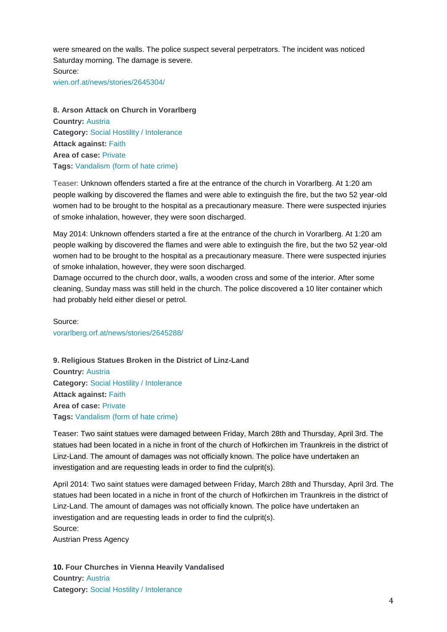were smeared on the walls. The police suspect several perpetrators. The incident was noticed Saturday morning. The damage is severe. Source: [wien.orf.at/news/stories/2645304/](http://wien.orf.at/news/stories/2645304/)

**8. Arson Attack on Church in Vorarlberg Country:** [Austria](http://www.intoleranceagainstchristians.eu/case.html?user_extmininews_pi1%5Bcountryid%5D=2) **Category:** Social [Hostility / Intolerance](http://www.intoleranceagainstchristians.eu/case.html?user_extmininews_pi1%5Bfiltertype%5D=0&user_extmininews_pi1%5Bfilteruid%5D=1) **Attack against:** [Faith](http://www.intoleranceagainstchristians.eu/case.html?user_extmininews_pi1%5Bfiltertype%5D=1&user_extmininews_pi1%5Bfilteruid%5D=1) **Area of case:** [Private](http://www.intoleranceagainstchristians.eu/case.html?user_extmininews_pi1%5Bfiltertype%5D=2&user_extmininews_pi1%5Bfilteruid%5D=2) **Tags:** [Vandalism \(form of hate crime\)](http://www.intoleranceagainstchristians.eu/case.html?user_extmininews_pi1%5Bfiltertype%5D=3&user_extmininews_pi1%5Bfilteruid%5D=20)

Teaser: Unknown offenders started a fire at the entrance of the church in Vorarlberg. At 1:20 am people walking by discovered the flames and were able to extinguish the fire, but the two 52 year-old women had to be brought to the hospital as a precautionary measure. There were suspected injuries of smoke inhalation, however, they were soon discharged.

May 2014: Unknown offenders started a fire at the entrance of the church in Vorarlberg. At 1:20 am people walking by discovered the flames and were able to extinguish the fire, but the two 52 year-old women had to be brought to the hospital as a precautionary measure. There were suspected injuries of smoke inhalation, however, they were soon discharged.

Damage occurred to the church door, walls, a wooden cross and some of the interior. After some cleaning, Sunday mass was still held in the church. The police discovered a 10 liter container which had probably held either diesel or petrol.

Source: [vorarlberg.orf.at/news/stories/2645288/](http://vorarlberg.orf.at/news/stories/2645288/)

**9. Religious Statues Broken in the District of Linz-Land Country:** [Austria](http://www.intoleranceagainstchristians.eu/case.html?user_extmininews_pi1%5Bcountryid%5D=2) **Category:** [Social Hostility / Intolerance](http://www.intoleranceagainstchristians.eu/case.html?user_extmininews_pi1%5Bfiltertype%5D=0&user_extmininews_pi1%5Bfilteruid%5D=1) **Attack against:** [Faith](http://www.intoleranceagainstchristians.eu/case.html?user_extmininews_pi1%5Bfiltertype%5D=1&user_extmininews_pi1%5Bfilteruid%5D=1) **Area of case:** [Private](http://www.intoleranceagainstchristians.eu/case.html?user_extmininews_pi1%5Bfiltertype%5D=2&user_extmininews_pi1%5Bfilteruid%5D=2) **Tags:** [Vandalism \(form of hate crime\)](http://www.intoleranceagainstchristians.eu/case.html?user_extmininews_pi1%5Bfiltertype%5D=3&user_extmininews_pi1%5Bfilteruid%5D=20)

Teaser: Two saint statues were damaged between Friday, March 28th and Thursday, April 3rd. The statues had been located in a niche in front of the church of Hofkirchen im Traunkreis in the district of Linz-Land. The amount of damages was not officially known. The police have undertaken an investigation and are requesting leads in order to find the culprit(s).

April 2014: Two saint statues were damaged between Friday, March 28th and Thursday, April 3rd. The statues had been located in a niche in front of the church of Hofkirchen im Traunkreis in the district of Linz-Land. The amount of damages was not officially known. The police have undertaken an investigation and are requesting leads in order to find the culprit(s). Source:

Austrian Press Agency

**10. Four Churches in Vienna Heavily Vandalised Country:** [Austria](http://www.intoleranceagainstchristians.eu/case.html?user_extmininews_pi1%5Bcountryid%5D=2) **Category:** [Social Hostility / Intolerance](http://www.intoleranceagainstchristians.eu/case.html?user_extmininews_pi1%5Bfiltertype%5D=0&user_extmininews_pi1%5Bfilteruid%5D=1)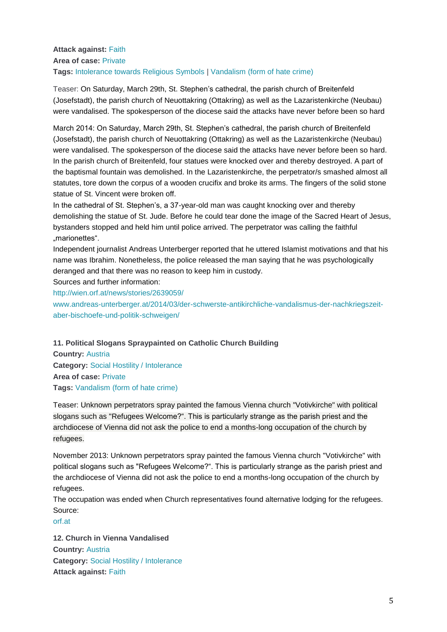## **Attack against:** [Faith](http://www.intoleranceagainstchristians.eu/case.html?user_extmininews_pi1%5Bfiltertype%5D=1&user_extmininews_pi1%5Bfilteruid%5D=1) **Area of case:** [Private](http://www.intoleranceagainstchristians.eu/case.html?user_extmininews_pi1%5Bfiltertype%5D=2&user_extmininews_pi1%5Bfilteruid%5D=2) **Tags:** [Intolerance towards Religious Symbols](http://www.intoleranceagainstchristians.eu/case.html?user_extmininews_pi1%5Bfiltertype%5D=3&user_extmininews_pi1%5Bfilteruid%5D=8) | [Vandalism \(form of hate crime\)](http://www.intoleranceagainstchristians.eu/case.html?user_extmininews_pi1%5Bfiltertype%5D=3&user_extmininews_pi1%5Bfilteruid%5D=20)

Teaser: On Saturday, March 29th, St. Stephen's cathedral, the parish church of Breitenfeld (Josefstadt), the parish church of Neuottakring (Ottakring) as well as the Lazaristenkirche (Neubau) were vandalised. The spokesperson of the diocese said the attacks have never before been so hard

March 2014: On Saturday, March 29th, St. Stephen's cathedral, the parish church of Breitenfeld (Josefstadt), the parish church of Neuottakring (Ottakring) as well as the Lazaristenkirche (Neubau) were vandalised. The spokesperson of the diocese said the attacks have never before been so hard. In the parish church of Breitenfeld, four statues were knocked over and thereby destroyed. A part of the baptismal fountain was demolished. In the Lazaristenkirche, the perpetrator/s smashed almost all statutes, tore down the corpus of a wooden crucifix and broke its arms. The fingers of the solid stone statue of St. Vincent were broken off.

In the cathedral of St. Stephen's, a 37-year-old man was caught knocking over and thereby demolishing the statue of St. Jude. Before he could tear done the image of the Sacred Heart of Jesus, bystanders stopped and held him until police arrived. The perpetrator was calling the faithful "marionettes".

Independent journalist Andreas Unterberger reported that he uttered Islamist motivations and that his name was Ibrahim. Nonetheless, the police released the man saying that he was psychologically deranged and that there was no reason to keep him in custody.

Sources and further information:

<http://wien.orf.at/news/stories/2639059/> [www.andreas-unterberger.at/2014/03/der-schwerste-antikirchliche-vandalismus-der-nachkriegszeit](http://www.andreas-unterberger.at/2014/03/der-schwerste-antikirchliche-vandalismus-der-nachkriegszeit-aber-bischoefe-und-politik-schweigen/?utm_source=twitterfeed&utm_medium=twitter#sthash.DMD31rXZ.dpuf)[aber-bischoefe-und-politik-schweigen/](http://www.andreas-unterberger.at/2014/03/der-schwerste-antikirchliche-vandalismus-der-nachkriegszeit-aber-bischoefe-und-politik-schweigen/?utm_source=twitterfeed&utm_medium=twitter#sthash.DMD31rXZ.dpuf)

**11. Political Slogans Spraypainted on Catholic Church Building**

**Country:** [Austria](http://www.intoleranceagainstchristians.eu/case.html?user_extmininews_pi1%5Bcountryid%5D=2) **Category:** [Social Hostility / Intolerance](http://www.intoleranceagainstchristians.eu/case.html?user_extmininews_pi1%5Bfiltertype%5D=0&user_extmininews_pi1%5Bfilteruid%5D=1) **Area of case:** [Private](http://www.intoleranceagainstchristians.eu/case.html?user_extmininews_pi1%5Bfiltertype%5D=2&user_extmininews_pi1%5Bfilteruid%5D=2) **Tags:** [Vandalism \(form of hate crime\)](http://www.intoleranceagainstchristians.eu/case.html?user_extmininews_pi1%5Bfiltertype%5D=3&user_extmininews_pi1%5Bfilteruid%5D=20)

Teaser: Unknown perpetrators spray painted the famous Vienna church "Votivkirche" with political slogans such as "Refugees Welcome?". This is particularly strange as the parish priest and the archdiocese of Vienna did not ask the police to end a months-long occupation of the church by refugees.

November 2013: Unknown perpetrators spray painted the famous Vienna church "Votivkirche" with political slogans such as "Refugees Welcome?". This is particularly strange as the parish priest and the archdiocese of Vienna did not ask the police to end a months-long occupation of the church by refugees.

The occupation was ended when Church representatives found alternative lodging for the refugees. Source:

[orf.at](http://orf.at/#/stories/2207714/)

**12. Church in Vienna Vandalised Country:** [Austria](http://www.intoleranceagainstchristians.eu/case.html?user_extmininews_pi1%5Bcountryid%5D=2) **Category:** [Social Hostility / Intolerance](http://www.intoleranceagainstchristians.eu/case.html?user_extmininews_pi1%5Bfiltertype%5D=0&user_extmininews_pi1%5Bfilteruid%5D=1) **Attack against:** [Faith](http://www.intoleranceagainstchristians.eu/case.html?user_extmininews_pi1%5Bfiltertype%5D=1&user_extmininews_pi1%5Bfilteruid%5D=1)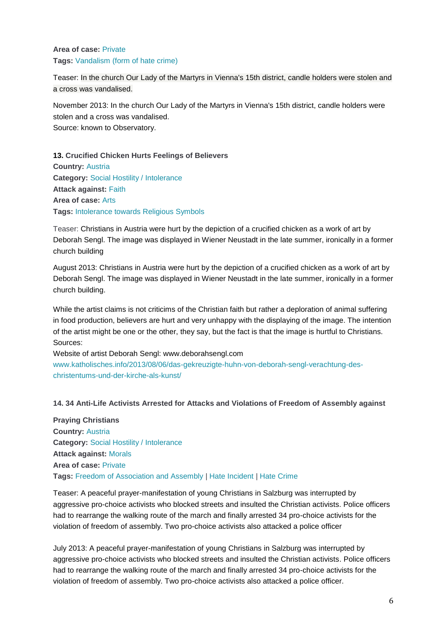## **Area of case:** [Private](http://www.intoleranceagainstchristians.eu/case.html?user_extmininews_pi1%5Bfiltertype%5D=2&user_extmininews_pi1%5Bfilteruid%5D=2) **Tags:** [Vandalism \(form of hate crime\)](http://www.intoleranceagainstchristians.eu/case.html?user_extmininews_pi1%5Bfiltertype%5D=3&user_extmininews_pi1%5Bfilteruid%5D=20)

Teaser: In the church Our Lady of the Martyrs in Vienna's 15th district, candle holders were stolen and a cross was vandalised.

November 2013: In the church Our Lady of the Martyrs in Vienna's 15th district, candle holders were stolen and a cross was vandalised. Source: known to Observatory.

# **13. Crucified Chicken Hurts Feelings of Believers**

**Country:** [Austria](http://www.intoleranceagainstchristians.eu/case.html?user_extmininews_pi1%5Bcountryid%5D=2) **Category:** [Social Hostility / Intolerance](http://www.intoleranceagainstchristians.eu/case.html?user_extmininews_pi1%5Bfiltertype%5D=0&user_extmininews_pi1%5Bfilteruid%5D=1) **Attack against:** [Faith](http://www.intoleranceagainstchristians.eu/case.html?user_extmininews_pi1%5Bfiltertype%5D=1&user_extmininews_pi1%5Bfilteruid%5D=1) **Area of case:** [Arts](http://www.intoleranceagainstchristians.eu/case.html?user_extmininews_pi1%5Bfiltertype%5D=2&user_extmininews_pi1%5Bfilteruid%5D=6) **Tags:** [Intolerance towards Religious Symbols](http://www.intoleranceagainstchristians.eu/case.html?user_extmininews_pi1%5Bfiltertype%5D=3&user_extmininews_pi1%5Bfilteruid%5D=8)

Teaser: Christians in Austria were hurt by the depiction of a crucified chicken as a work of art by Deborah Sengl. The image was displayed in Wiener Neustadt in the late summer, ironically in a former church building

August 2013: Christians in Austria were hurt by the depiction of a crucified chicken as a work of art by Deborah Sengl. The image was displayed in Wiener Neustadt in the late summer, ironically in a former church building.

While the artist claims is not criticims of the Christian faith but rather a deploration of animal suffering in food production, believers are hurt and very unhappy with the displaying of the image. The intention of the artist might be one or the other, they say, but the fact is that the image is hurtful to Christians. Sources:

Website of artist Deborah Sengl: www.deborahsengl.com [www.katholisches.info/2013/08/06/das-gekreuzigte-huhn-von-deborah-sengl-verachtung-des](http://www.katholisches.info/2013/08/06/das-gekreuzigte-huhn-von-deborah-sengl-verachtung-des-christentums-und-der-kirche-als-kunst/)[christentums-und-der-kirche-als-kunst/](http://www.katholisches.info/2013/08/06/das-gekreuzigte-huhn-von-deborah-sengl-verachtung-des-christentums-und-der-kirche-als-kunst/)

### **14. 34 Anti-Life Activists Arrested for Attacks and Violations of Freedom of Assembly against**

**Praying Christians Country:** [Austria](http://www.intoleranceagainstchristians.eu/case.html?user_extmininews_pi1%5Bcountryid%5D=2) **Category:** [Social Hostility / Intolerance](http://www.intoleranceagainstchristians.eu/case.html?user_extmininews_pi1%5Bfiltertype%5D=0&user_extmininews_pi1%5Bfilteruid%5D=1) **Attack against:** [Morals](http://www.intoleranceagainstchristians.eu/case.html?user_extmininews_pi1%5Bfiltertype%5D=1&user_extmininews_pi1%5Bfilteruid%5D=2) **Area of case:** [Private](http://www.intoleranceagainstchristians.eu/case.html?user_extmininews_pi1%5Bfiltertype%5D=2&user_extmininews_pi1%5Bfilteruid%5D=2) **Tags:** [Freedom of Association and Assembly](http://www.intoleranceagainstchristians.eu/case.html?user_extmininews_pi1%5Bfiltertype%5D=3&user_extmininews_pi1%5Bfilteruid%5D=21) | [Hate Incident](http://www.intoleranceagainstchristians.eu/case.html?user_extmininews_pi1%5Bfiltertype%5D=3&user_extmininews_pi1%5Bfilteruid%5D=13) | [Hate Crime](http://www.intoleranceagainstchristians.eu/case.html?user_extmininews_pi1%5Bfiltertype%5D=3&user_extmininews_pi1%5Bfilteruid%5D=14)

Teaser: A peaceful prayer-manifestation of young Christians in Salzburg was interrupted by aggressive pro-choice activists who blocked streets and insulted the Christian activists. Police officers had to rearrange the walking route of the march and finally arrested 34 pro-choice activists for the violation of freedom of assembly. Two pro-choice activists also attacked a police officer

July 2013: A peaceful prayer-manifestation of young Christians in Salzburg was interrupted by aggressive pro-choice activists who blocked streets and insulted the Christian activists. Police officers had to rearrange the walking route of the march and finally arrested 34 pro-choice activists for the violation of freedom of assembly. Two pro-choice activists also attacked a police officer.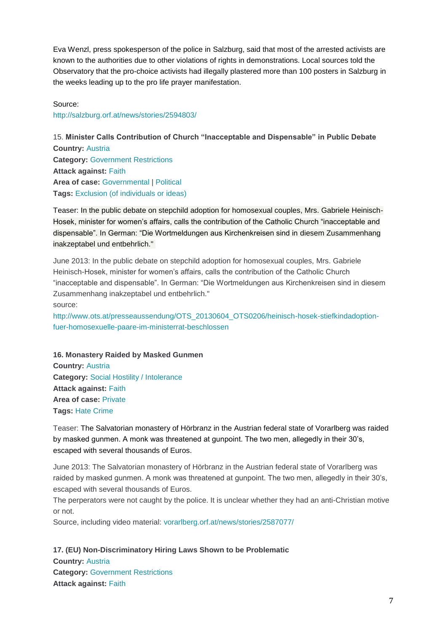Eva Wenzl, press spokesperson of the police in Salzburg, said that most of the arrested activists are known to the authorities due to other violations of rights in demonstrations. Local sources told the Observatory that the pro-choice activists had illegally plastered more than 100 posters in Salzburg in the weeks leading up to the pro life prayer manifestation.

Source: <http://salzburg.orf.at/news/stories/2594803/>

15. **Minister Calls Contribution of Church "Inacceptable and Dispensable" in Public Debate Country:** [Austria](http://www.intoleranceagainstchristians.eu/case.html?user_extmininews_pi1%5Bcountryid%5D=2) **Category:** [Government Restrictions](http://www.intoleranceagainstchristians.eu/case.html?user_extmininews_pi1%5Bfiltertype%5D=0&user_extmininews_pi1%5Bfilteruid%5D=2) **Attack against:** [Faith](http://www.intoleranceagainstchristians.eu/case.html?user_extmininews_pi1%5Bfiltertype%5D=1&user_extmininews_pi1%5Bfilteruid%5D=1) **Area of case:** [Governmental](http://www.intoleranceagainstchristians.eu/case.html?user_extmininews_pi1%5Bfiltertype%5D=2&user_extmininews_pi1%5Bfilteruid%5D=1) | [Political](http://www.intoleranceagainstchristians.eu/case.html?user_extmininews_pi1%5Bfiltertype%5D=2&user_extmininews_pi1%5Bfilteruid%5D=3) **Tags:** [Exclusion \(of individuals or ideas\)](http://www.intoleranceagainstchristians.eu/case.html?user_extmininews_pi1%5Bfiltertype%5D=3&user_extmininews_pi1%5Bfilteruid%5D=23)

Teaser: In the public debate on stepchild adoption for homosexual couples, Mrs. Gabriele Heinisch-Hosek, minister for women's affairs, calls the contribution of the Catholic Church "inacceptable and dispensable". In German: "Die Wortmeldungen aus Kirchenkreisen sind in diesem Zusammenhang inakzeptabel und entbehrlich."

June 2013: In the public debate on stepchild adoption for homosexual couples, Mrs. Gabriele Heinisch-Hosek, minister for women's affairs, calls the contribution of the Catholic Church "inacceptable and dispensable". In German: "Die Wortmeldungen aus Kirchenkreisen sind in diesem Zusammenhang inakzeptabel und entbehrlich." source:

[http://www.ots.at/presseaussendung/OTS\\_20130604\\_OTS0206/heinisch-hosek-stiefkindadoption](http://www.ots.at/presseaussendung/OTS_20130604_OTS0206/heinisch-hosek-stiefkindadoption-fuer-homosexuelle-paare-im-ministerrat-beschlossen)[fuer-homosexuelle-paare-im-ministerrat-beschlossen](http://www.ots.at/presseaussendung/OTS_20130604_OTS0206/heinisch-hosek-stiefkindadoption-fuer-homosexuelle-paare-im-ministerrat-beschlossen)

**16. Monastery Raided by Masked Gunmen Country:** [Austria](http://www.intoleranceagainstchristians.eu/case.html?user_extmininews_pi1%5Bcountryid%5D=2) **Category:** [Social Hostility / Intolerance](http://www.intoleranceagainstchristians.eu/case.html?user_extmininews_pi1%5Bfiltertype%5D=0&user_extmininews_pi1%5Bfilteruid%5D=1) **Attack against:** [Faith](http://www.intoleranceagainstchristians.eu/case.html?user_extmininews_pi1%5Bfiltertype%5D=1&user_extmininews_pi1%5Bfilteruid%5D=1)

**Area of case:** [Private](http://www.intoleranceagainstchristians.eu/case.html?user_extmininews_pi1%5Bfiltertype%5D=2&user_extmininews_pi1%5Bfilteruid%5D=2) **Tags:** [Hate Crime](http://www.intoleranceagainstchristians.eu/case.html?user_extmininews_pi1%5Bfiltertype%5D=3&user_extmininews_pi1%5Bfilteruid%5D=14)

Teaser: The Salvatorian monastery of Hörbranz in the Austrian federal state of Vorarlberg was raided by masked gunmen. A monk was threatened at gunpoint. The two men, allegedly in their 30's, escaped with several thousands of Euros.

June 2013: The Salvatorian monastery of Hörbranz in the Austrian federal state of Vorarlberg was raided by masked gunmen. A monk was threatened at gunpoint. The two men, allegedly in their 30's, escaped with several thousands of Euros.

The perperators were not caught by the police. It is unclear whether they had an anti-Christian motive or not.

Source, including video material: [vorarlberg.orf.at/news/stories/2587077/](http://vorarlberg.orf.at/news/stories/2587077/)

**17. (EU) Non-Discriminatory Hiring Laws Shown to be Problematic Country:** [Austria](http://www.intoleranceagainstchristians.eu/case.html?user_extmininews_pi1%5Bcountryid%5D=2) **Category:** [Government Restrictions](http://www.intoleranceagainstchristians.eu/case.html?user_extmininews_pi1%5Bfiltertype%5D=0&user_extmininews_pi1%5Bfilteruid%5D=2) **Attack against:** [Faith](http://www.intoleranceagainstchristians.eu/case.html?user_extmininews_pi1%5Bfiltertype%5D=1&user_extmininews_pi1%5Bfilteruid%5D=1)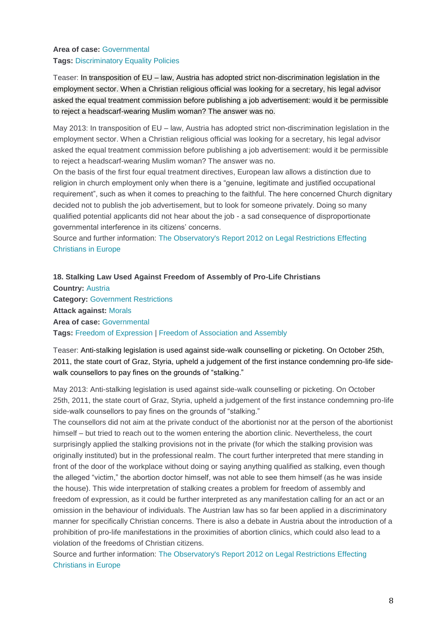## **Area of case:** [Governmental](http://www.intoleranceagainstchristians.eu/case.html?user_extmininews_pi1%5Bfiltertype%5D=2&user_extmininews_pi1%5Bfilteruid%5D=1) **Tags:** [Discriminatory Equality Policies](http://www.intoleranceagainstchristians.eu/case.html?user_extmininews_pi1%5Bfiltertype%5D=3&user_extmininews_pi1%5Bfilteruid%5D=9)

Teaser: In transposition of EU – law, Austria has adopted strict non-discrimination legislation in the employment sector. When a Christian religious official was looking for a secretary, his legal advisor asked the equal treatment commission before publishing a job advertisement: would it be permissible to reject a headscarf-wearing Muslim woman? The answer was no.

May 2013: In transposition of EU – law, Austria has adopted strict non-discrimination legislation in the employment sector. When a Christian religious official was looking for a secretary, his legal advisor asked the equal treatment commission before publishing a job advertisement: would it be permissible to reject a headscarf-wearing Muslim woman? The answer was no.

On the basis of the first four equal treatment directives, European law allows a distinction due to religion in church employment only when there is a "genuine, legitimate and justified occupational requirement", such as when it comes to preaching to the faithful. The here concerned Church dignitary decided not to publish the job advertisement, but to look for someone privately. Doing so many qualified potential applicants did not hear about the job - a sad consequence of disproportionate governmental interference in its citizens' concerns.

Source and further information: [The Observatory's Report 2012 on Legal Restrictions Effecting](http://www.intoleranceagainstchristians.eu/publications/legal-restrictions-effecting-christians-report-2012.html)  [Christians in Europe](http://www.intoleranceagainstchristians.eu/publications/legal-restrictions-effecting-christians-report-2012.html)

**18. Stalking Law Used Against Freedom of Assembly of Pro-Life Christians Country:** [Austria](http://www.intoleranceagainstchristians.eu/case.html?user_extmininews_pi1%5Bcountryid%5D=2) **Category:** [Government Restrictions](http://www.intoleranceagainstchristians.eu/case.html?user_extmininews_pi1%5Bfiltertype%5D=0&user_extmininews_pi1%5Bfilteruid%5D=2) **Attack against:** [Morals](http://www.intoleranceagainstchristians.eu/case.html?user_extmininews_pi1%5Bfiltertype%5D=1&user_extmininews_pi1%5Bfilteruid%5D=2) **Area of case:** [Governmental](http://www.intoleranceagainstchristians.eu/case.html?user_extmininews_pi1%5Bfiltertype%5D=2&user_extmininews_pi1%5Bfilteruid%5D=1) **Tags:** [Freedom of Expression](http://www.intoleranceagainstchristians.eu/case.html?user_extmininews_pi1%5Bfiltertype%5D=3&user_extmininews_pi1%5Bfilteruid%5D=6) | [Freedom of Association and Assembly](http://www.intoleranceagainstchristians.eu/case.html?user_extmininews_pi1%5Bfiltertype%5D=3&user_extmininews_pi1%5Bfilteruid%5D=21)

Teaser: Anti-stalking legislation is used against side-walk counselling or picketing. On October 25th, 2011, the state court of Graz, Styria, upheld a judgement of the first instance condemning pro-life sidewalk counsellors to pay fines on the grounds of "stalking."

May 2013: Anti-stalking legislation is used against side-walk counselling or picketing. On October 25th, 2011, the state court of Graz, Styria, upheld a judgement of the first instance condemning pro-life side-walk counsellors to pay fines on the grounds of "stalking."

The counsellors did not aim at the private conduct of the abortionist nor at the person of the abortionist himself – but tried to reach out to the women entering the abortion clinic. Nevertheless, the court surprisingly applied the stalking provisions not in the private (for which the stalking provision was originally instituted) but in the professional realm. The court further interpreted that mere standing in front of the door of the workplace without doing or saying anything qualified as stalking, even though the alleged "victim," the abortion doctor himself, was not able to see them himself (as he was inside the house). This wide interpretation of stalking creates a problem for freedom of assembly and freedom of expression, as it could be further interpreted as any manifestation calling for an act or an omission in the behaviour of individuals. The Austrian law has so far been applied in a discriminatory manner for specifically Christian concerns. There is also a debate in Austria about the introduction of a prohibition of pro-life manifestations in the proximities of abortion clinics, which could also lead to a violation of the freedoms of Christian citizens.

Source and further information: [The Observatory's Report 2012 on Legal Restrictions Effecting](http://www.intoleranceagainstchristians.eu/publications/legal-restrictions-effecting-christians-report-2012.html)  [Christians in Europe](http://www.intoleranceagainstchristians.eu/publications/legal-restrictions-effecting-christians-report-2012.html)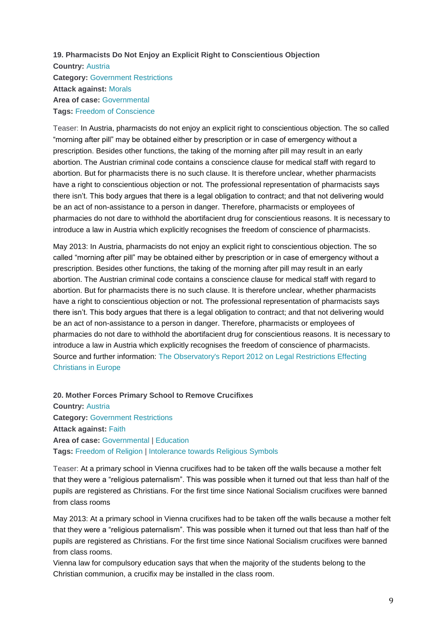## **19. Pharmacists Do Not Enjoy an Explicit Right to Conscientious Objection**

**Country:** [Austria](http://www.intoleranceagainstchristians.eu/case.html?user_extmininews_pi1%5Bcountryid%5D=2) **Category:** [Government Restrictions](http://www.intoleranceagainstchristians.eu/case.html?user_extmininews_pi1%5Bfiltertype%5D=0&user_extmininews_pi1%5Bfilteruid%5D=2) **Attack against:** [Morals](http://www.intoleranceagainstchristians.eu/case.html?user_extmininews_pi1%5Bfiltertype%5D=1&user_extmininews_pi1%5Bfilteruid%5D=2) **Area of case:** [Governmental](http://www.intoleranceagainstchristians.eu/case.html?user_extmininews_pi1%5Bfiltertype%5D=2&user_extmininews_pi1%5Bfilteruid%5D=1) **Tags:** [Freedom of Conscience](http://www.intoleranceagainstchristians.eu/case.html?user_extmininews_pi1%5Bfiltertype%5D=3&user_extmininews_pi1%5Bfilteruid%5D=4)

Teaser: In Austria, pharmacists do not enjoy an explicit right to conscientious objection. The so called "morning after pill" may be obtained either by prescription or in case of emergency without a prescription. Besides other functions, the taking of the morning after pill may result in an early abortion. The Austrian criminal code contains a conscience clause for medical staff with regard to abortion. But for pharmacists there is no such clause. It is therefore unclear, whether pharmacists have a right to conscientious objection or not. The professional representation of pharmacists says there isn't. This body argues that there is a legal obligation to contract; and that not delivering would be an act of non-assistance to a person in danger. Therefore, pharmacists or employees of pharmacies do not dare to withhold the abortifacient drug for conscientious reasons. It is necessary to introduce a law in Austria which explicitly recognises the freedom of conscience of pharmacists.

May 2013: In Austria, pharmacists do not enjoy an explicit right to conscientious objection. The so called "morning after pill" may be obtained either by prescription or in case of emergency without a prescription. Besides other functions, the taking of the morning after pill may result in an early abortion. The Austrian criminal code contains a conscience clause for medical staff with regard to abortion. But for pharmacists there is no such clause. It is therefore unclear, whether pharmacists have a right to conscientious objection or not. The professional representation of pharmacists says there isn't. This body argues that there is a legal obligation to contract; and that not delivering would be an act of non-assistance to a person in danger. Therefore, pharmacists or employees of pharmacies do not dare to withhold the abortifacient drug for conscientious reasons. It is necessary to introduce a law in Austria which explicitly recognises the freedom of conscience of pharmacists. Source and further information: [The Observatory's Report 2012 on Legal Restrictions Effecting](http://www.intoleranceagainstchristians.eu/publications/legal-restrictions-effecting-christians-report-2012.html)  [Christians in Europe](http://www.intoleranceagainstchristians.eu/publications/legal-restrictions-effecting-christians-report-2012.html)

**20. Mother Forces Primary School to Remove Crucifixes Country:** [Austria](http://www.intoleranceagainstchristians.eu/case.html?user_extmininews_pi1%5Bcountryid%5D=2) **Category:** [Government Restrictions](http://www.intoleranceagainstchristians.eu/case.html?user_extmininews_pi1%5Bfiltertype%5D=0&user_extmininews_pi1%5Bfilteruid%5D=2) **Attack against:** [Faith](http://www.intoleranceagainstchristians.eu/case.html?user_extmininews_pi1%5Bfiltertype%5D=1&user_extmininews_pi1%5Bfilteruid%5D=1) **Area of case: [Governmental](http://www.intoleranceagainstchristians.eu/case.html?user_extmininews_pi1%5Bfiltertype%5D=2&user_extmininews_pi1%5Bfilteruid%5D=1) | [Education](http://www.intoleranceagainstchristians.eu/case.html?user_extmininews_pi1%5Bfiltertype%5D=2&user_extmininews_pi1%5Bfilteruid%5D=7) Tags:** [Freedom of Religion](http://www.intoleranceagainstchristians.eu/case.html?user_extmininews_pi1%5Bfiltertype%5D=3&user_extmininews_pi1%5Bfilteruid%5D=5) | [Intolerance towards Religious Symbols](http://www.intoleranceagainstchristians.eu/case.html?user_extmininews_pi1%5Bfiltertype%5D=3&user_extmininews_pi1%5Bfilteruid%5D=8)

Teaser: At a primary school in Vienna crucifixes had to be taken off the walls because a mother felt that they were a "religious paternalism". This was possible when it turned out that less than half of the pupils are registered as Christians. For the first time since National Socialism crucifixes were banned from class rooms

May 2013: At a primary school in Vienna crucifixes had to be taken off the walls because a mother felt that they were a "religious paternalism". This was possible when it turned out that less than half of the pupils are registered as Christians. For the first time since National Socialism crucifixes were banned from class rooms.

Vienna law for compulsory education says that when the majority of the students belong to the Christian communion, a crucifix may be installed in the class room.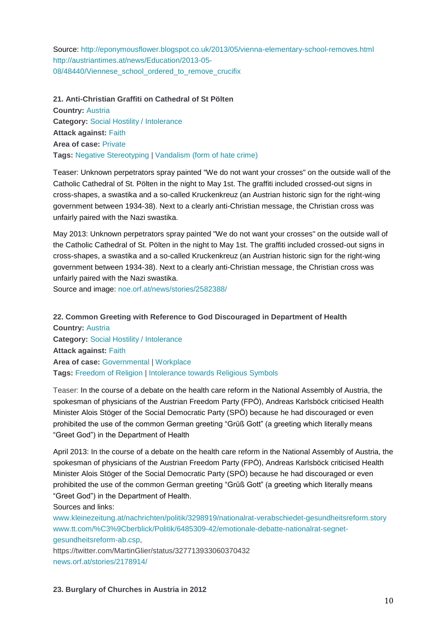Source: <http://eponymousflower.blogspot.co.uk/2013/05/vienna-elementary-school-removes.html> [http://austriantimes.at/news/Education/2013-05-](http://austriantimes.at/news/Education/2013-05-08/48440/Viennese_school_ordered_to_remove_crucifix) [08/48440/Viennese\\_school\\_ordered\\_to\\_remove\\_crucifix](http://austriantimes.at/news/Education/2013-05-08/48440/Viennese_school_ordered_to_remove_crucifix)

**21. Anti-Christian Graffiti on Cathedral of St Pölten Country:** [Austria](http://www.intoleranceagainstchristians.eu/case.html?user_extmininews_pi1%5Bcountryid%5D=2) **Category:** [Social Hostility / Intolerance](http://www.intoleranceagainstchristians.eu/case.html?user_extmininews_pi1%5Bfiltertype%5D=0&user_extmininews_pi1%5Bfilteruid%5D=1) **Attack against:** [Faith](http://www.intoleranceagainstchristians.eu/case.html?user_extmininews_pi1%5Bfiltertype%5D=1&user_extmininews_pi1%5Bfilteruid%5D=1) **Area of case:** [Private](http://www.intoleranceagainstchristians.eu/case.html?user_extmininews_pi1%5Bfiltertype%5D=2&user_extmininews_pi1%5Bfilteruid%5D=2) **Tags:** [Negative Stereotyping](http://www.intoleranceagainstchristians.eu/case.html?user_extmininews_pi1%5Bfiltertype%5D=3&user_extmininews_pi1%5Bfilteruid%5D=16) | [Vandalism \(form of hate crime\)](http://www.intoleranceagainstchristians.eu/case.html?user_extmininews_pi1%5Bfiltertype%5D=3&user_extmininews_pi1%5Bfilteruid%5D=20)

Teaser: Unknown perpetrators spray painted "We do not want your crosses" on the outside wall of the Catholic Cathedral of St. Pölten in the night to May 1st. The graffiti included crossed-out signs in cross-shapes, a swastika and a so-called Kruckenkreuz (an Austrian historic sign for the right-wing government between 1934-38). Next to a clearly anti-Christian message, the Christian cross was unfairly paired with the Nazi swastika.

May 2013: Unknown perpetrators spray painted "We do not want your crosses" on the outside wall of the Catholic Cathedral of St. Pölten in the night to May 1st. The graffiti included crossed-out signs in cross-shapes, a swastika and a so-called Kruckenkreuz (an Austrian historic sign for the right-wing government between 1934-38). Next to a clearly anti-Christian message, the Christian cross was unfairly paired with the Nazi swastika.

Source and image: [noe.orf.at/news/stories/2582388/](http://noe.orf.at/news/stories/2582388/)

**22. Common Greeting with Reference to God Discouraged in Department of Health Country:** [Austria](http://www.intoleranceagainstchristians.eu/case.html?user_extmininews_pi1%5Bcountryid%5D=2) **Category:** [Social Hostility / Intolerance](http://www.intoleranceagainstchristians.eu/case.html?user_extmininews_pi1%5Bfiltertype%5D=0&user_extmininews_pi1%5Bfilteruid%5D=1) **Attack against:** [Faith](http://www.intoleranceagainstchristians.eu/case.html?user_extmininews_pi1%5Bfiltertype%5D=1&user_extmininews_pi1%5Bfilteruid%5D=1) **Area of case:** [Governmental](http://www.intoleranceagainstchristians.eu/case.html?user_extmininews_pi1%5Bfiltertype%5D=2&user_extmininews_pi1%5Bfilteruid%5D=1) | [Workplace](http://www.intoleranceagainstchristians.eu/case.html?user_extmininews_pi1%5Bfiltertype%5D=2&user_extmininews_pi1%5Bfilteruid%5D=8) **Tags:** [Freedom of Religion](http://www.intoleranceagainstchristians.eu/case.html?user_extmininews_pi1%5Bfiltertype%5D=3&user_extmininews_pi1%5Bfilteruid%5D=5) | [Intolerance towards Religious Symbols](http://www.intoleranceagainstchristians.eu/case.html?user_extmininews_pi1%5Bfiltertype%5D=3&user_extmininews_pi1%5Bfilteruid%5D=8)

Teaser: In the course of a debate on the health care reform in the National Assembly of Austria, the spokesman of physicians of the Austrian Freedom Party (FPÖ), Andreas Karlsböck criticised Health Minister Alois Stöger of the Social Democratic Party (SPÖ) because he had discouraged or even prohibited the use of the common German greeting "Grüß Gott" (a greeting which literally means "Greet God") in the Department of Health

April 2013: In the course of a debate on the health care reform in the National Assembly of Austria, the spokesman of physicians of the Austrian Freedom Party (FPÖ), Andreas Karlsböck criticised Health Minister Alois Stöger of the Social Democratic Party (SPÖ) because he had discouraged or even prohibited the use of the common German greeting "Grüß Gott" (a greeting which literally means "Greet God") in the Department of Health.

Sources and links:

[www.kleinezeitung.at/nachrichten/politik/3298919/nationalrat-verabschiedet-gesundheitsreform.story](http://www.kleinezeitung.at/nachrichten/politik/3298919/nationalrat-verabschiedet-gesundheitsreform.story) [www.tt.com/%C3%9Cberblick/Politik/6485309-42/emotionale-debatte-nationalrat-segnet](http://www.tt.com/%C3%9Cberblick/Politik/6485309-42/emotionale-debatte-nationalrat-segnet-gesundheitsreform-ab.csp)[gesundheitsreform-ab.csp,](http://www.tt.com/%C3%9Cberblick/Politik/6485309-42/emotionale-debatte-nationalrat-segnet-gesundheitsreform-ab.csp)

https://twitter.com/MartinGlier/status/327713933060370432 [news.orf.at/stories/2178914/](http://news.orf.at/stories/2178914/)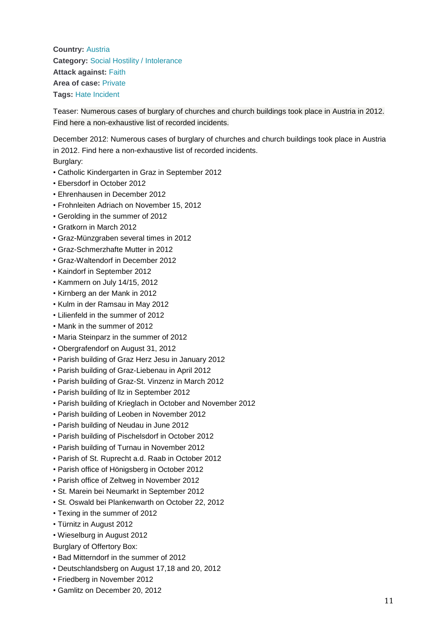**Country:** [Austria](http://www.intoleranceagainstchristians.eu/case.html?user_extmininews_pi1%5Bcountryid%5D=2) **Category:** [Social Hostility / Intolerance](http://www.intoleranceagainstchristians.eu/case.html?user_extmininews_pi1%5Bfiltertype%5D=0&user_extmininews_pi1%5Bfilteruid%5D=1) **Attack against:** [Faith](http://www.intoleranceagainstchristians.eu/case.html?user_extmininews_pi1%5Bfiltertype%5D=1&user_extmininews_pi1%5Bfilteruid%5D=1) **Area of case:** [Private](http://www.intoleranceagainstchristians.eu/case.html?user_extmininews_pi1%5Bfiltertype%5D=2&user_extmininews_pi1%5Bfilteruid%5D=2) **Tags:** [Hate Incident](http://www.intoleranceagainstchristians.eu/case.html?user_extmininews_pi1%5Bfiltertype%5D=3&user_extmininews_pi1%5Bfilteruid%5D=13)

Teaser: Numerous cases of burglary of churches and church buildings took place in Austria in 2012. Find here a non-exhaustive list of recorded incidents.

December 2012: Numerous cases of burglary of churches and church buildings took place in Austria in 2012. Find here a non-exhaustive list of recorded incidents.

Burglary:

- Catholic Kindergarten in Graz in September 2012
- Ebersdorf in October 2012
- Ehrenhausen in December 2012
- Frohnleiten Adriach on November 15, 2012
- Gerolding in the summer of 2012
- Gratkorn in March 2012
- Graz-Münzgraben several times in 2012
- Graz-Schmerzhafte Mutter in 2012
- Graz-Waltendorf in December 2012
- Kaindorf in September 2012
- Kammern on July 14/15, 2012
- Kirnberg an der Mank in 2012
- Kulm in der Ramsau in May 2012
- Lilienfeld in the summer of 2012
- Mank in the summer of 2012
- Maria Steinparz in the summer of 2012
- Obergrafendorf on August 31, 2012
- Parish building of Graz Herz Jesu in January 2012
- Parish building of Graz-Liebenau in April 2012
- Parish building of Graz-St. Vinzenz in March 2012
- Parish building of llz in September 2012
- Parish building of Krieglach in October and November 2012
- Parish building of Leoben in November 2012
- Parish building of Neudau in June 2012
- Parish building of Pischelsdorf in October 2012
- Parish building of Turnau in November 2012
- Parish of St. Ruprecht a.d. Raab in October 2012
- Parish office of Hönigsberg in October 2012
- Parish office of Zeltweg in November 2012
- St. Marein bei Neumarkt in September 2012
- St. Oswald bei Plankenwarth on October 22, 2012
- Texing in the summer of 2012
- Türnitz in August 2012
- Wieselburg in August 2012
- Burglary of Offertory Box:
- Bad Mitterndorf in the summer of 2012
- Deutschlandsberg on August 17,18 and 20, 2012
- Friedberg in November 2012
- Gamlitz on December 20, 2012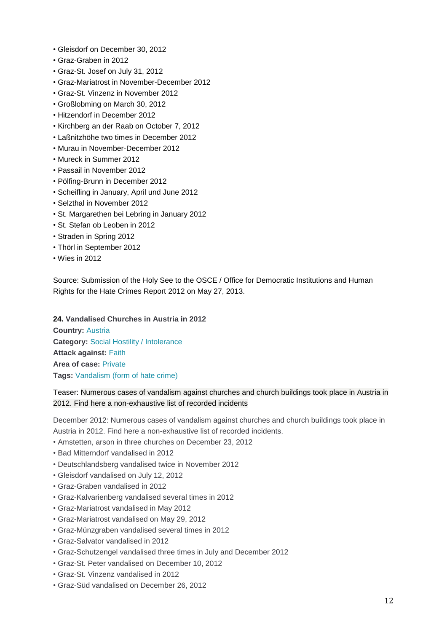- Gleisdorf on December 30, 2012
- Graz-Graben in 2012
- Graz-St. Josef on July 31, 2012
- Graz-Mariatrost in November-December 2012
- Graz-St. Vinzenz in November 2012
- Großlobming on March 30, 2012
- Hitzendorf in December 2012
- Kirchberg an der Raab on October 7, 2012
- Laßnitzhöhe two times in December 2012
- Murau in November-December 2012
- Mureck in Summer 2012
- Passail in November 2012
- Pölfing-Brunn in December 2012
- Scheifling in January, April und June 2012
- Selzthal in November 2012
- St. Margarethen bei Lebring in January 2012
- St. Stefan ob Leoben in 2012
- Straden in Spring 2012
- Thörl in September 2012
- Wies in 2012

Source: Submission of the Holy See to the OSCE / Office for Democratic Institutions and Human Rights for the Hate Crimes Report 2012 on May 27, 2013.

**24. Vandalised Churches in Austria in 2012**

**Country:** [Austria](http://www.intoleranceagainstchristians.eu/case.html?user_extmininews_pi1%5Bcountryid%5D=2) **Category:** [Social Hostility / Intolerance](http://www.intoleranceagainstchristians.eu/case.html?user_extmininews_pi1%5Bfiltertype%5D=0&user_extmininews_pi1%5Bfilteruid%5D=1) **Attack against:** [Faith](http://www.intoleranceagainstchristians.eu/case.html?user_extmininews_pi1%5Bfiltertype%5D=1&user_extmininews_pi1%5Bfilteruid%5D=1) **Area of case:** [Private](http://www.intoleranceagainstchristians.eu/case.html?user_extmininews_pi1%5Bfiltertype%5D=2&user_extmininews_pi1%5Bfilteruid%5D=2) **Tags:** [Vandalism \(form of hate crime\)](http://www.intoleranceagainstchristians.eu/case.html?user_extmininews_pi1%5Bfiltertype%5D=3&user_extmininews_pi1%5Bfilteruid%5D=20)

## Teaser: Numerous cases of vandalism against churches and church buildings took place in Austria in 2012. Find here a non-exhaustive list of recorded incidents

December 2012: Numerous cases of vandalism against churches and church buildings took place in Austria in 2012. Find here a non-exhaustive list of recorded incidents.

- Amstetten, arson in three churches on December 23, 2012
- Bad Mitterndorf vandalised in 2012
- Deutschlandsberg vandalised twice in November 2012
- Gleisdorf vandalised on July 12, 2012
- Graz-Graben vandalised in 2012
- Graz-Kalvarienberg vandalised several times in 2012
- Graz-Mariatrost vandalised in May 2012
- Graz-Mariatrost vandalised on May 29, 2012
- Graz-Münzgraben vandalised several times in 2012
- Graz-Salvator vandalised in 2012
- Graz-Schutzengel vandalised three times in July and December 2012
- Graz-St. Peter vandalised on December 10, 2012
- Graz-St. Vinzenz vandalised in 2012
- Graz-Süd vandalised on December 26, 2012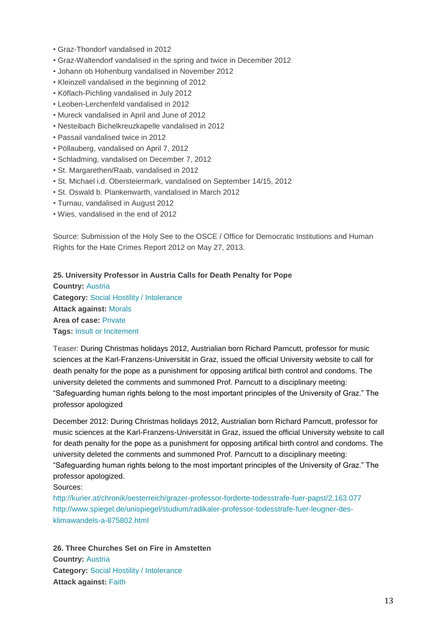- Graz-Thondorf vandalised in 2012
- Graz-Waltendorf vandalised in the spring and twice in December 2012
- Johann ob Hohenburg vandalised in November 2012
- Kleinzell vandalised in the beginning of 2012
- Köflach-Pichling vandalised in July 2012
- Leoben-Lerchenfeld vandalised in 2012
- Mureck vandalised in April and June of 2012
- Nesteibach Bichelkreuzkapelle vandalised in 2012
- Passail vandalised twice in 2012
- Pöllauberg, vandalised on April 7, 2012
- Schladming, vandalised on December 7, 2012
- St. Margarethen/Raab, vandalised in 2012
- St. Michael i.d. Obersteiermark, vandalised on September 14/15, 2012
- St. Oswald b. Plankenwarth, vandalised in March 2012
- Turnau, vandalised in August 2012
- Wies, vandalised in the end of 2012

Source: Submission of the Holy See to the OSCE / Office for Democratic Institutions and Human Rights for the Hate Crimes Report 2012 on May 27, 2013.

#### **25. University Professor in Austria Calls for Death Penalty for Pope**

**Country:** [Austria](http://www.intoleranceagainstchristians.eu/case.html?user_extmininews_pi1%5Bcountryid%5D=2) **Category:** [Social Hostility / Intolerance](http://www.intoleranceagainstchristians.eu/case.html?user_extmininews_pi1%5Bfiltertype%5D=0&user_extmininews_pi1%5Bfilteruid%5D=1) **Attack against:** [Morals](http://www.intoleranceagainstchristians.eu/case.html?user_extmininews_pi1%5Bfiltertype%5D=1&user_extmininews_pi1%5Bfilteruid%5D=2) **Area of case:** [Private](http://www.intoleranceagainstchristians.eu/case.html?user_extmininews_pi1%5Bfiltertype%5D=2&user_extmininews_pi1%5Bfilteruid%5D=2) **Tags:** [Insult or Incitement](http://www.intoleranceagainstchristians.eu/case.html?user_extmininews_pi1%5Bfiltertype%5D=3&user_extmininews_pi1%5Bfilteruid%5D=15)

Teaser: During Christmas holidays 2012, Austrialian born Richard Parncutt, professor for music sciences at the Karl-Franzens-Universität in Graz, issued the official University website to call for death penalty for the pope as a punishment for opposing artifical birth control and condoms. The university deleted the comments and summoned Prof. Parncutt to a disciplinary meeting: "Safeguarding human rights belong to the most important principles of the University of Graz." The professor apologized

December 2012: During Christmas holidays 2012, Austrialian born Richard Parncutt, professor for music sciences at the Karl-Franzens-Universität in Graz, issued the official University website to call for death penalty for the pope as a punishment for opposing artifical birth control and condoms. The university deleted the comments and summoned Prof. Parncutt to a disciplinary meeting: "Safeguarding human rights belong to the most important principles of the University of Graz." The professor apologized.

#### Sources:

<http://kurier.at/chronik/oesterreich/grazer-professor-forderte-todesstrafe-fuer-papst/2.163.077> [http://www.spiegel.de/unispiegel/studium/radikaler-professor-todesstrafe-fuer-leugner-des](http://www.spiegel.de/unispiegel/studium/radikaler-professor-todesstrafe-fuer-leugner-des-klimawandels-a-875802.html)[klimawandels-a-875802.html](http://www.spiegel.de/unispiegel/studium/radikaler-professor-todesstrafe-fuer-leugner-des-klimawandels-a-875802.html)

**26. Three Churches Set on Fire in Amstetten Country:** [Austria](http://www.intoleranceagainstchristians.eu/case.html?user_extmininews_pi1%5Bcountryid%5D=2) **Category:** [Social Hostility / Intolerance](http://www.intoleranceagainstchristians.eu/case.html?user_extmininews_pi1%5Bfiltertype%5D=0&user_extmininews_pi1%5Bfilteruid%5D=1) **Attack against:** [Faith](http://www.intoleranceagainstchristians.eu/case.html?user_extmininews_pi1%5Bfiltertype%5D=1&user_extmininews_pi1%5Bfilteruid%5D=1)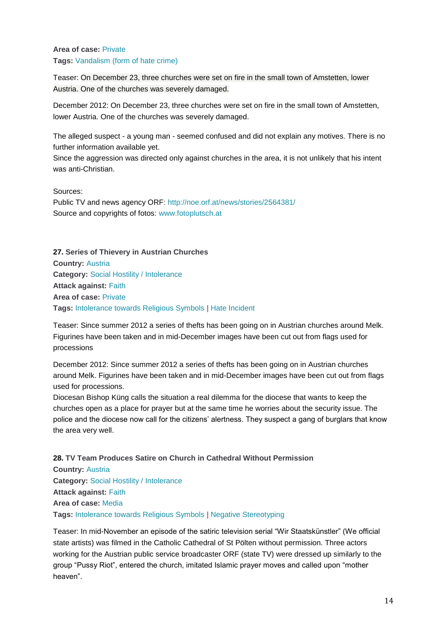## **Area of case:** [Private](http://www.intoleranceagainstchristians.eu/case.html?user_extmininews_pi1%5Bfiltertype%5D=2&user_extmininews_pi1%5Bfilteruid%5D=2) **Tags:** [Vandalism \(form of hate crime\)](http://www.intoleranceagainstchristians.eu/case.html?user_extmininews_pi1%5Bfiltertype%5D=3&user_extmininews_pi1%5Bfilteruid%5D=20)

Teaser: On December 23, three churches were set on fire in the small town of Amstetten, lower Austria. One of the churches was severely damaged.

December 2012: On December 23, three churches were set on fire in the small town of Amstetten, lower Austria. One of the churches was severely damaged.

The alleged suspect - a young man - seemed confused and did not explain any motives. There is no further information available yet.

Since the aggression was directed only against churches in the area, it is not unlikely that his intent was anti-Christian.

Sources:

Public TV and news agency ORF: <http://noe.orf.at/news/stories/2564381/> Source and copyrights of fotos: [www.fotoplutsch.at](http://www.fotoplutsch.at/)

**27. Series of Thievery in Austrian Churches Country:** [Austria](http://www.intoleranceagainstchristians.eu/case.html?user_extmininews_pi1%5Bcountryid%5D=2) **Category:** [Social Hostility / Intolerance](http://www.intoleranceagainstchristians.eu/case.html?user_extmininews_pi1%5Bfiltertype%5D=0&user_extmininews_pi1%5Bfilteruid%5D=1) **Attack against:** [Faith](http://www.intoleranceagainstchristians.eu/case.html?user_extmininews_pi1%5Bfiltertype%5D=1&user_extmininews_pi1%5Bfilteruid%5D=1) **Area of case:** [Private](http://www.intoleranceagainstchristians.eu/case.html?user_extmininews_pi1%5Bfiltertype%5D=2&user_extmininews_pi1%5Bfilteruid%5D=2) **Tags:** [Intolerance towards Religious Symbols](http://www.intoleranceagainstchristians.eu/case.html?user_extmininews_pi1%5Bfiltertype%5D=3&user_extmininews_pi1%5Bfilteruid%5D=8) | [Hate Incident](http://www.intoleranceagainstchristians.eu/case.html?user_extmininews_pi1%5Bfiltertype%5D=3&user_extmininews_pi1%5Bfilteruid%5D=13)

Teaser: Since summer 2012 a series of thefts has been going on in Austrian churches around Melk. Figurines have been taken and in mid-December images have been cut out from flags used for processions

December 2012: Since summer 2012 a series of thefts has been going on in Austrian churches around Melk. Figurines have been taken and in mid-December images have been cut out from flags used for processions.

Diocesan Bishop Küng calls the situation a real dilemma for the diocese that wants to keep the churches open as a place for prayer but at the same time he worries about the security issue. The police and the diocese now call for the citizens' alertness. They suspect a gang of burglars that know the area very well.

**28. TV Team Produces Satire on Church in Cathedral Without Permission**

**Country:** [Austria](http://www.intoleranceagainstchristians.eu/case.html?user_extmininews_pi1%5Bcountryid%5D=2) **Category:** [Social Hostility / Intolerance](http://www.intoleranceagainstchristians.eu/case.html?user_extmininews_pi1%5Bfiltertype%5D=0&user_extmininews_pi1%5Bfilteruid%5D=1) **Attack against:** [Faith](http://www.intoleranceagainstchristians.eu/case.html?user_extmininews_pi1%5Bfiltertype%5D=1&user_extmininews_pi1%5Bfilteruid%5D=1) **Area of case:** [Media](http://www.intoleranceagainstchristians.eu/case.html?user_extmininews_pi1%5Bfiltertype%5D=2&user_extmininews_pi1%5Bfilteruid%5D=5) **Tags:** [Intolerance towards Religious Symbols](http://www.intoleranceagainstchristians.eu/case.html?user_extmininews_pi1%5Bfiltertype%5D=3&user_extmininews_pi1%5Bfilteruid%5D=8) | [Negative Stereotyping](http://www.intoleranceagainstchristians.eu/case.html?user_extmininews_pi1%5Bfiltertype%5D=3&user_extmininews_pi1%5Bfilteruid%5D=16)

Teaser: In mid-November an episode of the satiric television serial "Wir Staatskünstler" (We official state artists) was filmed in the Catholic Cathedral of St Pölten without permission. Three actors working for the Austrian public service broadcaster ORF (state TV) were dressed up similarly to the group "Pussy Riot", entered the church, imitated Islamic prayer moves and called upon "mother heaven".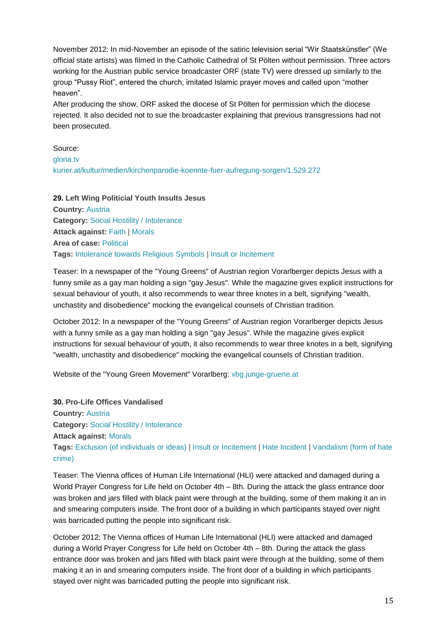November 2012: In mid-November an episode of the satiric television serial "Wir Staatskünstler" (We official state artists) was filmed in the Catholic Cathedral of St Pölten without permission. Three actors working for the Austrian public service broadcaster ORF (state TV) were dressed up similarly to the group "Pussy Riot", entered the church, imitated Islamic prayer moves and called upon "mother heaven".

After producing the show, ORF asked the diocese of St Pölten for permission which the diocese rejected. It also decided not to sue the broadcaster explaining that previous transgressions had not been prosecuted.

Source:

[gloria.tv](http://gloria.tv/?media=367256)

[kurier.at/kultur/medien/kirchenparodie-koennte-fuer-aufregung-sorgen/1.529.272](http://kurier.at/kultur/medien/kirchenparodie-koennte-fuer-aufregung-sorgen/1.529.272)

**29. Left Wing Politicial Youth Insults Jesus Country:** [Austria](http://www.intoleranceagainstchristians.eu/case.html?user_extmininews_pi1%5Bcountryid%5D=2) **Category:** [Social Hostility / Intolerance](http://www.intoleranceagainstchristians.eu/case.html?user_extmininews_pi1%5Bfiltertype%5D=0&user_extmininews_pi1%5Bfilteruid%5D=1) **Attack against:** [Faith](http://www.intoleranceagainstchristians.eu/case.html?user_extmininews_pi1%5Bfiltertype%5D=1&user_extmininews_pi1%5Bfilteruid%5D=1) | [Morals](http://www.intoleranceagainstchristians.eu/case.html?user_extmininews_pi1%5Bfiltertype%5D=1&user_extmininews_pi1%5Bfilteruid%5D=2) **Area of case:** [Political](http://www.intoleranceagainstchristians.eu/case.html?user_extmininews_pi1%5Bfiltertype%5D=2&user_extmininews_pi1%5Bfilteruid%5D=3) **Tags:** [Intolerance towards Religious Symbols](http://www.intoleranceagainstchristians.eu/case.html?user_extmininews_pi1%5Bfiltertype%5D=3&user_extmininews_pi1%5Bfilteruid%5D=8) | [Insult or Incitement](http://www.intoleranceagainstchristians.eu/case.html?user_extmininews_pi1%5Bfiltertype%5D=3&user_extmininews_pi1%5Bfilteruid%5D=15)

Teaser: In a newspaper of the "Young Greens" of Austrian region Vorarlberger depicts Jesus with a funny smile as a gay man holding a sign "gay Jesus". While the magazine gives explicit instructions for sexual behaviour of youth, it also recommends to wear three knotes in a belt, signifying "wealth, unchastity and disobedience" mocking the evangelical counsels of Christian tradition.

October 2012: In a newspaper of the "Young Greens" of Austrian region Vorarlberger depicts Jesus with a funny smile as a gay man holding a sign "gay Jesus". While the magazine gives explicit instructions for sexual behaviour of youth, it also recommends to wear three knotes in a belt, signifying "wealth, unchastity and disobedience" mocking the evangelical counsels of Christian tradition.

Website of the "Young Green Movement" Vorarlberg: [vbg.junge-gruene.at](http://vbg.junge-gruene.at/)

**30. Pro-Life Offices Vandalised Country:** [Austria](http://www.intoleranceagainstchristians.eu/case.html?user_extmininews_pi1%5Bcountryid%5D=2) **Category:** [Social Hostility / Intolerance](http://www.intoleranceagainstchristians.eu/case.html?user_extmininews_pi1%5Bfiltertype%5D=0&user_extmininews_pi1%5Bfilteruid%5D=1) **Attack against:** [Morals](http://www.intoleranceagainstchristians.eu/case.html?user_extmininews_pi1%5Bfiltertype%5D=1&user_extmininews_pi1%5Bfilteruid%5D=2) **Tags:** [Exclusion \(of individuals or ideas\)](http://www.intoleranceagainstchristians.eu/case.html?user_extmininews_pi1%5Bfiltertype%5D=3&user_extmininews_pi1%5Bfilteruid%5D=23) | [Insult or Incitement](http://www.intoleranceagainstchristians.eu/case.html?user_extmininews_pi1%5Bfiltertype%5D=3&user_extmininews_pi1%5Bfilteruid%5D=15) | [Hate Incident](http://www.intoleranceagainstchristians.eu/case.html?user_extmininews_pi1%5Bfiltertype%5D=3&user_extmininews_pi1%5Bfilteruid%5D=13) | [Vandalism \(form of hate](http://www.intoleranceagainstchristians.eu/case.html?user_extmininews_pi1%5Bfiltertype%5D=3&user_extmininews_pi1%5Bfilteruid%5D=20)  [crime\)](http://www.intoleranceagainstchristians.eu/case.html?user_extmininews_pi1%5Bfiltertype%5D=3&user_extmininews_pi1%5Bfilteruid%5D=20)

Teaser: The Vienna offices of Human Life International (HLI) were attacked and damaged during a World Prayer Congress for Life held on October 4th – 8th. During the attack the glass entrance door was broken and jars filled with black paint were through at the building, some of them making it an in and smearing computers inside. The front door of a building in which participants stayed over night was barricaded putting the people into significant risk.

October 2012: The Vienna offices of Human Life International (HLI) were attacked and damaged during a World Prayer Congress for Life held on October 4th – 8th. During the attack the glass entrance door was broken and jars filled with black paint were through at the building, some of them making it an in and smearing computers inside. The front door of a building in which participants stayed over night was barricaded putting the people into significant risk.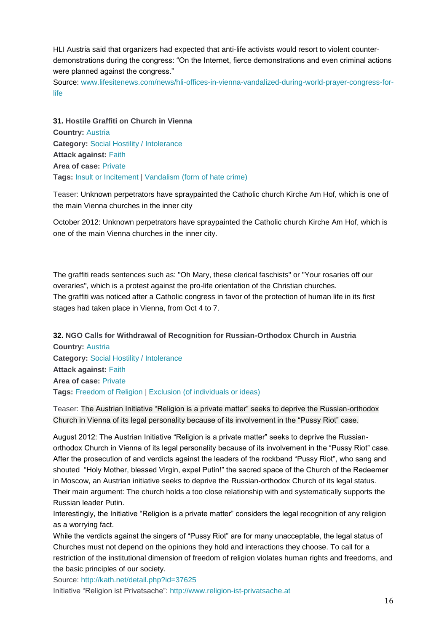HLI Austria said that organizers had expected that anti-life activists would resort to violent counterdemonstrations during the congress: "On the Internet, fierce demonstrations and even criminal actions were planned against the congress."

Source: [www.lifesitenews.com/news/hli-offices-in-vienna-vandalized-during-world-prayer-congress-for](http://www.lifesitenews.com/news/hli-offices-in-vienna-vandalized-during-world-prayer-congress-for-life)[life](http://www.lifesitenews.com/news/hli-offices-in-vienna-vandalized-during-world-prayer-congress-for-life)

**31. Hostile Graffiti on Church in Vienna Country:** [Austria](http://www.intoleranceagainstchristians.eu/case.html?user_extmininews_pi1%5Bcountryid%5D=2) **Category:** [Social Hostility / Intolerance](http://www.intoleranceagainstchristians.eu/case.html?user_extmininews_pi1%5Bfiltertype%5D=0&user_extmininews_pi1%5Bfilteruid%5D=1) **Attack against:** [Faith](http://www.intoleranceagainstchristians.eu/case.html?user_extmininews_pi1%5Bfiltertype%5D=1&user_extmininews_pi1%5Bfilteruid%5D=1) **Area of case:** [Private](http://www.intoleranceagainstchristians.eu/case.html?user_extmininews_pi1%5Bfiltertype%5D=2&user_extmininews_pi1%5Bfilteruid%5D=2) **Tags:** [Insult or Incitement](http://www.intoleranceagainstchristians.eu/case.html?user_extmininews_pi1%5Bfiltertype%5D=3&user_extmininews_pi1%5Bfilteruid%5D=15) | [Vandalism \(form of hate crime\)](http://www.intoleranceagainstchristians.eu/case.html?user_extmininews_pi1%5Bfiltertype%5D=3&user_extmininews_pi1%5Bfilteruid%5D=20)

Teaser: Unknown perpetrators have spraypainted the Catholic church Kirche Am Hof, which is one of the main Vienna churches in the inner city

October 2012: Unknown perpetrators have spraypainted the Catholic church Kirche Am Hof, which is one of the main Vienna churches in the inner city.

The graffiti reads sentences such as: "Oh Mary, these clerical faschists" or "Your rosaries off our overaries", which is a protest against the pro-life orientation of the Christian churches. The graffiti was noticed after a Catholic congress in favor of the protection of human life in its first stages had taken place in Vienna, from Oct 4 to 7.

**32. NGO Calls for Withdrawal of Recognition for Russian-Orthodox Church in Austria Country:** [Austria](http://www.intoleranceagainstchristians.eu/case.html?user_extmininews_pi1%5Bcountryid%5D=2) **Category:** [Social Hostility / Intolerance](http://www.intoleranceagainstchristians.eu/case.html?user_extmininews_pi1%5Bfiltertype%5D=0&user_extmininews_pi1%5Bfilteruid%5D=1) **Attack against:** [Faith](http://www.intoleranceagainstchristians.eu/case.html?user_extmininews_pi1%5Bfiltertype%5D=1&user_extmininews_pi1%5Bfilteruid%5D=1) **Area of case:** [Private](http://www.intoleranceagainstchristians.eu/case.html?user_extmininews_pi1%5Bfiltertype%5D=2&user_extmininews_pi1%5Bfilteruid%5D=2) **Tags:** [Freedom of Religion](http://www.intoleranceagainstchristians.eu/case.html?user_extmininews_pi1%5Bfiltertype%5D=3&user_extmininews_pi1%5Bfilteruid%5D=5) | [Exclusion \(of individuals or ideas\)](http://www.intoleranceagainstchristians.eu/case.html?user_extmininews_pi1%5Bfiltertype%5D=3&user_extmininews_pi1%5Bfilteruid%5D=23)

Teaser: The Austrian Initiative "Religion is a private matter" seeks to deprive the Russian-orthodox Church in Vienna of its legal personality because of its involvement in the "Pussy Riot" case.

August 2012: The Austrian Initiative "Religion is a private matter" seeks to deprive the Russianorthodox Church in Vienna of its legal personality because of its involvement in the "Pussy Riot" case. After the prosecution of and verdicts against the leaders of the rockband "Pussy Riot", who sang and shouted "Holy Mother, blessed Virgin, expel Putin!" the sacred space of the Church of the Redeemer in Moscow, an Austrian initiative seeks to deprive the Russian-orthodox Church of its legal status. Their main argument: The church holds a too close relationship with and systematically supports the Russian leader Putin.

Interestingly, the Initiative "Religion is a private matter" considers the legal recognition of any religion as a worrying fact.

While the verdicts against the singers of "Pussy Riot" are for many unacceptable, the legal status of Churches must not depend on the opinions they hold and interactions they choose. To call for a restriction of the institutional dimension of freedom of religion violates human rights and freedoms, and the basic principles of our society.

Source: <http://kath.net/detail.php?id=37625> Initiative "Religion ist Privatsache": [http://www.religion-ist-privatsache.at](http://www.religion-ist-privatsache.at/)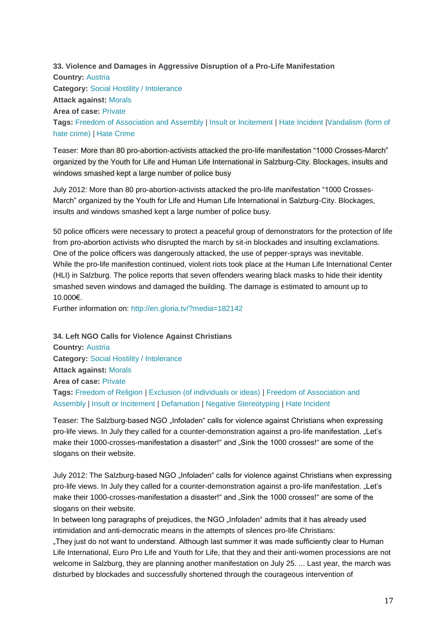**33. Violence and Damages in Aggressive Disruption of a Pro-Life Manifestation Country:** [Austria](http://www.intoleranceagainstchristians.eu/case.html?user_extmininews_pi1%5Bcountryid%5D=2) **Category:** [Social Hostility / Intolerance](http://www.intoleranceagainstchristians.eu/case.html?user_extmininews_pi1%5Bfiltertype%5D=0&user_extmininews_pi1%5Bfilteruid%5D=1) **Attack against:** [Morals](http://www.intoleranceagainstchristians.eu/case.html?user_extmininews_pi1%5Bfiltertype%5D=1&user_extmininews_pi1%5Bfilteruid%5D=2) **Area of case:** [Private](http://www.intoleranceagainstchristians.eu/case.html?user_extmininews_pi1%5Bfiltertype%5D=2&user_extmininews_pi1%5Bfilteruid%5D=2) **Tags:** [Freedom of Association and Assembly](http://www.intoleranceagainstchristians.eu/case.html?user_extmininews_pi1%5Bfiltertype%5D=3&user_extmininews_pi1%5Bfilteruid%5D=21) | [Insult or Incitement](http://www.intoleranceagainstchristians.eu/case.html?user_extmininews_pi1%5Bfiltertype%5D=3&user_extmininews_pi1%5Bfilteruid%5D=15) | [Hate Incident](http://www.intoleranceagainstchristians.eu/case.html?user_extmininews_pi1%5Bfiltertype%5D=3&user_extmininews_pi1%5Bfilteruid%5D=13) [|Vandalism \(form of](http://www.intoleranceagainstchristians.eu/case.html?user_extmininews_pi1%5Bfiltertype%5D=3&user_extmininews_pi1%5Bfilteruid%5D=20)  [hate crime\)](http://www.intoleranceagainstchristians.eu/case.html?user_extmininews_pi1%5Bfiltertype%5D=3&user_extmininews_pi1%5Bfilteruid%5D=20) | [Hate Crime](http://www.intoleranceagainstchristians.eu/case.html?user_extmininews_pi1%5Bfiltertype%5D=3&user_extmininews_pi1%5Bfilteruid%5D=14)

Teaser: More than 80 pro-abortion-activists attacked the pro-life manifestation "1000 Crosses-March" organized by the Youth for Life and Human Life International in Salzburg-City. Blockages, insults and windows smashed kept a large number of police busy

July 2012: More than 80 pro-abortion-activists attacked the pro-life manifestation "1000 Crosses-March" organized by the Youth for Life and Human Life International in Salzburg-City. Blockages, insults and windows smashed kept a large number of police busy.

50 police officers were necessary to protect a peaceful group of demonstrators for the protection of life from pro-abortion activists who disrupted the march by sit-in blockades and insulting exclamations. One of the police officers was dangerously attacked, the use of pepper-sprays was inevitable. While the pro-life manifestion continued, violent riots took place at the Human Life International Center (HLI) in Salzburg. The police reports that seven offenders wearing black masks to hide their identity smashed seven windows and damaged the building. The damage is estimated to amount up to 10.000€.

Further information on: <http://en.gloria.tv/?media=182142>

**34. Left NGO Calls for Violence Against Christians**

**Country:** [Austria](http://www.intoleranceagainstchristians.eu/case.html?user_extmininews_pi1%5Bcountryid%5D=2) **Category:** [Social Hostility / Intolerance](http://www.intoleranceagainstchristians.eu/case.html?user_extmininews_pi1%5Bfiltertype%5D=0&user_extmininews_pi1%5Bfilteruid%5D=1) **Attack against:** [Morals](http://www.intoleranceagainstchristians.eu/case.html?user_extmininews_pi1%5Bfiltertype%5D=1&user_extmininews_pi1%5Bfilteruid%5D=2) **Area of case:** [Private](http://www.intoleranceagainstchristians.eu/case.html?user_extmininews_pi1%5Bfiltertype%5D=2&user_extmininews_pi1%5Bfilteruid%5D=2) **Tags:** [Freedom of Religion](http://www.intoleranceagainstchristians.eu/case.html?user_extmininews_pi1%5Bfiltertype%5D=3&user_extmininews_pi1%5Bfilteruid%5D=5) | [Exclusion \(of individuals or ideas\)](http://www.intoleranceagainstchristians.eu/case.html?user_extmininews_pi1%5Bfiltertype%5D=3&user_extmininews_pi1%5Bfilteruid%5D=23) | [Freedom of Association and](http://www.intoleranceagainstchristians.eu/case.html?user_extmininews_pi1%5Bfiltertype%5D=3&user_extmininews_pi1%5Bfilteruid%5D=21)  [Assembly](http://www.intoleranceagainstchristians.eu/case.html?user_extmininews_pi1%5Bfiltertype%5D=3&user_extmininews_pi1%5Bfilteruid%5D=21) | [Insult or Incitement](http://www.intoleranceagainstchristians.eu/case.html?user_extmininews_pi1%5Bfiltertype%5D=3&user_extmininews_pi1%5Bfilteruid%5D=15) | [Defamation](http://www.intoleranceagainstchristians.eu/case.html?user_extmininews_pi1%5Bfiltertype%5D=3&user_extmininews_pi1%5Bfilteruid%5D=11) | [Negative Stereotyping](http://www.intoleranceagainstchristians.eu/case.html?user_extmininews_pi1%5Bfiltertype%5D=3&user_extmininews_pi1%5Bfilteruid%5D=16) | [Hate Incident](http://www.intoleranceagainstchristians.eu/case.html?user_extmininews_pi1%5Bfiltertype%5D=3&user_extmininews_pi1%5Bfilteruid%5D=13)

Teaser: The Salzburg-based NGO "Infoladen" calls for violence against Christians when expressing pro-life views. In July they called for a counter-demonstration against a pro-life manifestation. "Let's make their 1000-crosses-manifestation a disaster!" and "Sink the 1000 crosses!" are some of the slogans on their website.

July 2012: The Salzburg-based NGO "Infoladen" calls for violence against Christians when expressing pro-life views. In July they called for a counter-demonstration against a pro-life manifestation. "Let's make their 1000-crosses-manifestation a disaster!" and "Sink the 1000 crosses!" are some of the slogans on their website.

In between long paragraphs of prejudices, the NGO "Infoladen" admits that it has already used intimidation and anti-democratic means in the attempts of silences pro-life Christians:

"They just do not want to understand. Although last summer it was made sufficiently clear to Human Life International, Euro Pro Life and Youth for Life, that they and their anti-women processions are not welcome in Salzburg, they are planning another manifestation on July 25. ... Last year, the march was disturbed by blockades and successfully shortened through the courageous intervention of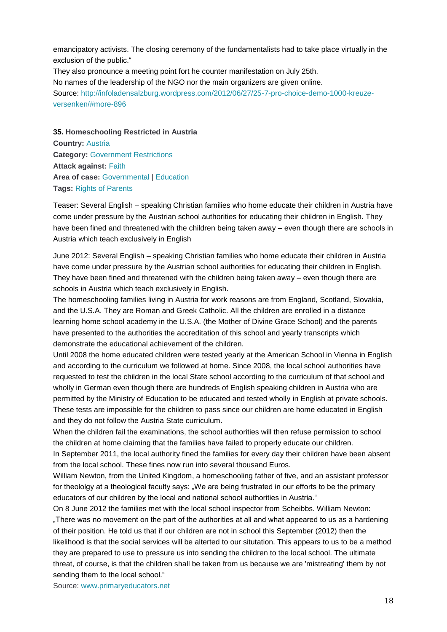emancipatory activists. The closing ceremony of the fundamentalists had to take place virtually in the exclusion of the public."

They also pronounce a meeting point fort he counter manifestation on July 25th. No names of the leadership of the NGO nor the main organizers are given online. Source: [http://infoladensalzburg.wordpress.com/2012/06/27/25-7-pro-choice-demo-1000-kreuze](http://infoladensalzburg.wordpress.com/2012/06/27/25-7-pro-choice-demo-1000-kreuze-versenken/#more-896)[versenken/#more-896](http://infoladensalzburg.wordpress.com/2012/06/27/25-7-pro-choice-demo-1000-kreuze-versenken/#more-896)

**35. Homeschooling Restricted in Austria Country:** [Austria](http://www.intoleranceagainstchristians.eu/case.html?user_extmininews_pi1%5Bcountryid%5D=2) **Category:** [Government Restrictions](http://www.intoleranceagainstchristians.eu/case.html?user_extmininews_pi1%5Bfiltertype%5D=0&user_extmininews_pi1%5Bfilteruid%5D=2) **Attack against:** [Faith](http://www.intoleranceagainstchristians.eu/case.html?user_extmininews_pi1%5Bfiltertype%5D=1&user_extmininews_pi1%5Bfilteruid%5D=1) **Area of case: [Governmental](http://www.intoleranceagainstchristians.eu/case.html?user_extmininews_pi1%5Bfiltertype%5D=2&user_extmininews_pi1%5Bfilteruid%5D=1) | [Education](http://www.intoleranceagainstchristians.eu/case.html?user_extmininews_pi1%5Bfiltertype%5D=2&user_extmininews_pi1%5Bfilteruid%5D=7) Tags:** [Rights of Parents](http://www.intoleranceagainstchristians.eu/case.html?user_extmininews_pi1%5Bfiltertype%5D=3&user_extmininews_pi1%5Bfilteruid%5D=10)

Teaser: Several English – speaking Christian families who home educate their children in Austria have come under pressure by the Austrian school authorities for educating their children in English. They have been fined and threatened with the children being taken away – even though there are schools in Austria which teach exclusively in English

June 2012: Several English – speaking Christian families who home educate their children in Austria have come under pressure by the Austrian school authorities for educating their children in English. They have been fined and threatened with the children being taken away – even though there are schools in Austria which teach exclusively in English.

The homeschooling families living in Austria for work reasons are from England, Scotland, Slovakia, and the U.S.A. They are Roman and Greek Catholic. All the children are enrolled in a distance learning home school academy in the U.S.A. (the Mother of Divine Grace School) and the parents have presented to the authorities the accreditation of this school and yearly transcripts which demonstrate the educational achievement of the children.

Until 2008 the home educated children were tested yearly at the American School in Vienna in English and according to the curriculum we followed at home. Since 2008, the local school authorities have requested to test the children in the local State school according to the curriculum of that school and wholly in German even though there are hundreds of English speaking children in Austria who are permitted by the Ministry of Education to be educated and tested wholly in English at private schools. These tests are impossible for the children to pass since our children are home educated in English and they do not follow the Austria State curriculum.

When the children fail the examinations, the school authorities will then refuse permission to school the children at home claiming that the families have failed to properly educate our children.

In September 2011, the local authority fined the families for every day their children have been absent from the local school. These fines now run into several thousand Euros.

William Newton, from the United Kingdom, a homeschooling father of five, and an assistant professor for theololgy at a theological faculty says: "We are being frustrated in our efforts to be the primary educators of our children by the local and national school authorities in Austria."

On 8 June 2012 the families met with the local school inspector from Scheibbs. William Newton: "There was no movement on the part of the authorities at all and what appeared to us as a hardening of their position. He told us that if our children are not in school this September (2012) then the likelihood is that the social services will be alterted to our situtation. This appears to us to be a method they are prepared to use to pressure us into sending the children to the local school. The ultimate threat, of course, is that the children shall be taken from us because we are 'mistreating' them by not sending them to the local school."

Source: [www.primaryeducators.net](http://www.primaryeducators.net/)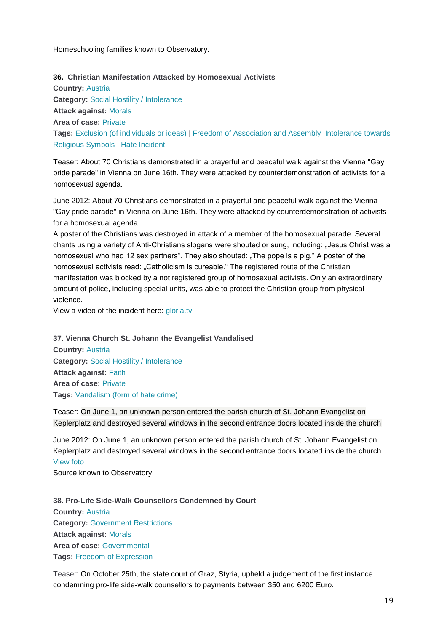Homeschooling families known to Observatory.

## **36. Christian Manifestation Attacked by Homosexual Activists**

**Country:** [Austria](http://www.intoleranceagainstchristians.eu/case.html?user_extmininews_pi1%5Bcountryid%5D=2) **Category:** [Social Hostility / Intolerance](http://www.intoleranceagainstchristians.eu/case.html?user_extmininews_pi1%5Bfiltertype%5D=0&user_extmininews_pi1%5Bfilteruid%5D=1) **Attack against:** [Morals](http://www.intoleranceagainstchristians.eu/case.html?user_extmininews_pi1%5Bfiltertype%5D=1&user_extmininews_pi1%5Bfilteruid%5D=2) **Area of case:** [Private](http://www.intoleranceagainstchristians.eu/case.html?user_extmininews_pi1%5Bfiltertype%5D=2&user_extmininews_pi1%5Bfilteruid%5D=2) **Tags:** [Exclusion \(of individuals or ideas\)](http://www.intoleranceagainstchristians.eu/case.html?user_extmininews_pi1%5Bfiltertype%5D=3&user_extmininews_pi1%5Bfilteruid%5D=23) | [Freedom of Association and Assembly](http://www.intoleranceagainstchristians.eu/case.html?user_extmininews_pi1%5Bfiltertype%5D=3&user_extmininews_pi1%5Bfilteruid%5D=21) [|Intolerance towards](http://www.intoleranceagainstchristians.eu/case.html?user_extmininews_pi1%5Bfiltertype%5D=3&user_extmininews_pi1%5Bfilteruid%5D=8)  [Religious Symbols](http://www.intoleranceagainstchristians.eu/case.html?user_extmininews_pi1%5Bfiltertype%5D=3&user_extmininews_pi1%5Bfilteruid%5D=8) | [Hate Incident](http://www.intoleranceagainstchristians.eu/case.html?user_extmininews_pi1%5Bfiltertype%5D=3&user_extmininews_pi1%5Bfilteruid%5D=13)

Teaser: About 70 Christians demonstrated in a prayerful and peaceful walk against the Vienna "Gay pride parade" in Vienna on June 16th. They were attacked by counterdemonstration of activists for a homosexual agenda.

June 2012: About 70 Christians demonstrated in a prayerful and peaceful walk against the Vienna "Gay pride parade" in Vienna on June 16th. They were attacked by counterdemonstration of activists for a homosexual agenda.

A poster of the Christians was destroyed in attack of a member of the homosexual parade. Several chants using a variety of Anti-Christians slogans were shouted or sung, including: "Jesus Christ was a homosexual who had 12 sex partners". They also shouted: "The pope is a pig." A poster of the homosexual activists read: "Catholicism is cureable." The registered route of the Christian manifestation was blocked by a not registered group of homosexual activists. Only an extraordinary amount of police, including special units, was able to protect the Christian group from physical violence.

View a video of the incident here: [gloria.tv](http://gloria.tv/?media=301724)

**37. Vienna Church St. Johann the Evangelist Vandalised Country:** [Austria](http://www.intoleranceagainstchristians.eu/case.html?user_extmininews_pi1%5Bcountryid%5D=2) **Category:** [Social Hostility / Intolerance](http://www.intoleranceagainstchristians.eu/case.html?user_extmininews_pi1%5Bfiltertype%5D=0&user_extmininews_pi1%5Bfilteruid%5D=1) **Attack against:** [Faith](http://www.intoleranceagainstchristians.eu/case.html?user_extmininews_pi1%5Bfiltertype%5D=1&user_extmininews_pi1%5Bfilteruid%5D=1) **Area of case:** [Private](http://www.intoleranceagainstchristians.eu/case.html?user_extmininews_pi1%5Bfiltertype%5D=2&user_extmininews_pi1%5Bfilteruid%5D=2) **Tags:** [Vandalism \(form of hate crime\)](http://www.intoleranceagainstchristians.eu/case.html?user_extmininews_pi1%5Bfiltertype%5D=3&user_extmininews_pi1%5Bfilteruid%5D=20)

Teaser: On June 1, an unknown person entered the parish church of St. Johann Evangelist on Keplerplatz and destroyed several windows in the second entrance doors located inside the church

June 2012: On June 1, an unknown person entered the parish church of St. Johann Evangelist on Keplerplatz and destroyed several windows in the second entrance doors located inside the church. [View foto](http://www.intoleranceagainstchristians.eu/fileadmin/user_upload/IMG00065-20121020-1744.jpg)

Source known to Observatory.

**38. Pro-Life Side-Walk Counsellors Condemned by Court Country:** [Austria](http://www.intoleranceagainstchristians.eu/case.html?user_extmininews_pi1%5Bcountryid%5D=2) **Category:** [Government Restrictions](http://www.intoleranceagainstchristians.eu/case.html?user_extmininews_pi1%5Bfiltertype%5D=0&user_extmininews_pi1%5Bfilteruid%5D=2) **Attack against:** [Morals](http://www.intoleranceagainstchristians.eu/case.html?user_extmininews_pi1%5Bfiltertype%5D=1&user_extmininews_pi1%5Bfilteruid%5D=2) **Area of case:** [Governmental](http://www.intoleranceagainstchristians.eu/case.html?user_extmininews_pi1%5Bfiltertype%5D=2&user_extmininews_pi1%5Bfilteruid%5D=1) **Tags:** [Freedom of Expression](http://www.intoleranceagainstchristians.eu/case.html?user_extmininews_pi1%5Bfiltertype%5D=3&user_extmininews_pi1%5Bfilteruid%5D=6)

Teaser: On October 25th, the state court of Graz, Styria, upheld a judgement of the first instance condemning pro-life side-walk counsellors to payments between 350 and 6200 Euro.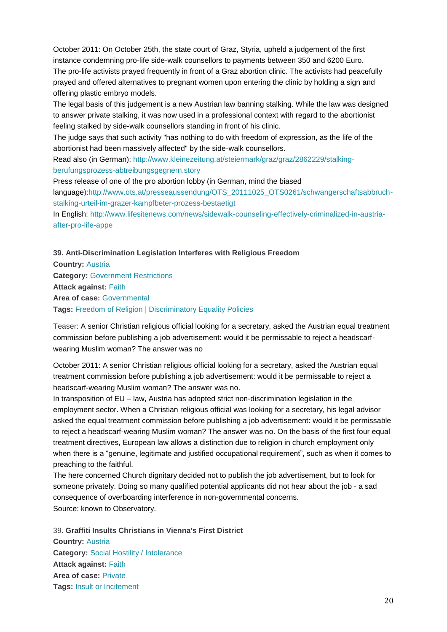October 2011: On October 25th, the state court of Graz, Styria, upheld a judgement of the first instance condemning pro-life side-walk counsellors to payments between 350 and 6200 Euro.

The pro-life activists prayed frequently in front of a Graz abortion clinic. The activists had peacefully prayed and offered alternatives to pregnant women upon entering the clinic by holding a sign and offering plastic embryo models.

The legal basis of this judgement is a new Austrian law banning stalking. While the law was designed to answer private stalking, it was now used in a professional context with regard to the abortionist feeling stalked by side-walk counsellors standing in front of his clinic.

The judge says that such activity "has nothing to do with freedom of expression, as the life of the abortionist had been massively affected" by the side-walk counsellors.

Read also (in German): [http://www.kleinezeitung.at/steiermark/graz/graz/2862229/stalking](http://www.kleinezeitung.at/steiermark/graz/graz/2862229/stalking-berufungsprozess-abtreibungsgegnern.story)[berufungsprozess-abtreibungsgegnern.story](http://www.kleinezeitung.at/steiermark/graz/graz/2862229/stalking-berufungsprozess-abtreibungsgegnern.story)

Press release of one of the pro abortion lobby (in German, mind the biased language)[:http://www.ots.at/presseaussendung/OTS\\_20111025\\_OTS0261/schwangerschaftsabbruch](http://www.ots.at/presseaussendung/OTS_20111025_OTS0261/schwangerschaftsabbruch-stalking-urteil-im-grazer-kampfbeter-prozess-bestaetigt)[stalking-urteil-im-grazer-kampfbeter-prozess-bestaetigt](http://www.ots.at/presseaussendung/OTS_20111025_OTS0261/schwangerschaftsabbruch-stalking-urteil-im-grazer-kampfbeter-prozess-bestaetigt)

In English: [http://www.lifesitenews.com/news/sidewalk-counseling-effectively-criminalized-in-austria](http://www.lifesitenews.com/news/sidewalk-counseling-effectively-criminalized-in-austria-after-pro-life-appe)[after-pro-life-appe](http://www.lifesitenews.com/news/sidewalk-counseling-effectively-criminalized-in-austria-after-pro-life-appe)

**39. Anti-Discrimination Legislation Interferes with Religious Freedom Country:** [Austria](http://www.intoleranceagainstchristians.eu/case.html?user_extmininews_pi1%5Bcountryid%5D=2) **Category:** [Government Restrictions](http://www.intoleranceagainstchristians.eu/case.html?user_extmininews_pi1%5Bfiltertype%5D=0&user_extmininews_pi1%5Bfilteruid%5D=2) **Attack against:** [Faith](http://www.intoleranceagainstchristians.eu/case.html?user_extmininews_pi1%5Bfiltertype%5D=1&user_extmininews_pi1%5Bfilteruid%5D=1) **Area of case:** [Governmental](http://www.intoleranceagainstchristians.eu/case.html?user_extmininews_pi1%5Bfiltertype%5D=2&user_extmininews_pi1%5Bfilteruid%5D=1) **Tags:** [Freedom of Religion](http://www.intoleranceagainstchristians.eu/case.html?user_extmininews_pi1%5Bfiltertype%5D=3&user_extmininews_pi1%5Bfilteruid%5D=5) | [Discriminatory Equality Policies](http://www.intoleranceagainstchristians.eu/case.html?user_extmininews_pi1%5Bfiltertype%5D=3&user_extmininews_pi1%5Bfilteruid%5D=9)

Teaser: A senior Christian religious official looking for a secretary, asked the Austrian equal treatment commission before publishing a job advertisement: would it be permissable to reject a headscarfwearing Muslim woman? The answer was no

October 2011: A senior Christian religious official looking for a secretary, asked the Austrian equal treatment commission before publishing a job advertisement: would it be permissable to reject a headscarf-wearing Muslim woman? The answer was no.

In transposition of EU – law, Austria has adopted strict non-discrimination legislation in the employment sector. When a Christian religious official was looking for a secretary, his legal advisor asked the equal treatment commission before publishing a job advertisement: would it be permissable to reject a headscarf-wearing Muslim woman? The answer was no. On the basis of the first four equal treatment directives, European law allows a distinction due to religion in church employment only when there is a "genuine, legitimate and justified occupational requirement", such as when it comes to preaching to the faithful.

The here concerned Church dignitary decided not to publish the job advertisement, but to look for someone privately. Doing so many qualified potential applicants did not hear about the job - a sad consequence of overboarding interference in non-governmental concerns. Source: known to Observatory.

39. **Graffiti Insults Christians in Vienna's First District Country:** [Austria](http://www.intoleranceagainstchristians.eu/case.html?user_extmininews_pi1%5Bcountryid%5D=2) **Category:** [Social Hostility / Intolerance](http://www.intoleranceagainstchristians.eu/case.html?user_extmininews_pi1%5Bfiltertype%5D=0&user_extmininews_pi1%5Bfilteruid%5D=1) **Attack against:** [Faith](http://www.intoleranceagainstchristians.eu/case.html?user_extmininews_pi1%5Bfiltertype%5D=1&user_extmininews_pi1%5Bfilteruid%5D=1) **Area of case:** [Private](http://www.intoleranceagainstchristians.eu/case.html?user_extmininews_pi1%5Bfiltertype%5D=2&user_extmininews_pi1%5Bfilteruid%5D=2) **Tags:** [Insult or Incitement](http://www.intoleranceagainstchristians.eu/case.html?user_extmininews_pi1%5Bfiltertype%5D=3&user_extmininews_pi1%5Bfilteruid%5D=15)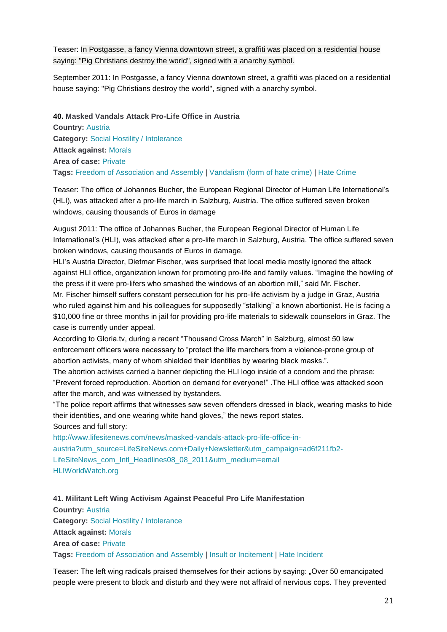Teaser: In Postgasse, a fancy Vienna downtown street, a graffiti was placed on a residential house saying: "Pig Christians destroy the world", signed with a anarchy symbol.

September 2011: In Postgasse, a fancy Vienna downtown street, a graffiti was placed on a residential house saying: "Pig Christians destroy the world", signed with a anarchy symbol.

**40. Masked Vandals Attack Pro-Life Office in Austria Country:** [Austria](http://www.intoleranceagainstchristians.eu/case.html?user_extmininews_pi1%5Bcountryid%5D=2) **Category:** [Social Hostility / Intolerance](http://www.intoleranceagainstchristians.eu/case.html?user_extmininews_pi1%5Bfiltertype%5D=0&user_extmininews_pi1%5Bfilteruid%5D=1) **Attack against:** [Morals](http://www.intoleranceagainstchristians.eu/case.html?user_extmininews_pi1%5Bfiltertype%5D=1&user_extmininews_pi1%5Bfilteruid%5D=2) **Area of case:** [Private](http://www.intoleranceagainstchristians.eu/case.html?user_extmininews_pi1%5Bfiltertype%5D=2&user_extmininews_pi1%5Bfilteruid%5D=2) **Tags:** [Freedom of Association and Assembly](http://www.intoleranceagainstchristians.eu/case.html?user_extmininews_pi1%5Bfiltertype%5D=3&user_extmininews_pi1%5Bfilteruid%5D=21) | [Vandalism \(form of hate crime\)](http://www.intoleranceagainstchristians.eu/case.html?user_extmininews_pi1%5Bfiltertype%5D=3&user_extmininews_pi1%5Bfilteruid%5D=20) | [Hate Crime](http://www.intoleranceagainstchristians.eu/case.html?user_extmininews_pi1%5Bfiltertype%5D=3&user_extmininews_pi1%5Bfilteruid%5D=14)

Teaser: The office of Johannes Bucher, the European Regional Director of Human Life International's (HLI), was attacked after a pro-life march in Salzburg, Austria. The office suffered seven broken windows, causing thousands of Euros in damage

August 2011: The office of Johannes Bucher, the European Regional Director of Human Life International's (HLI), was attacked after a pro-life march in Salzburg, Austria. The office suffered seven broken windows, causing thousands of Euros in damage.

HLI's Austria Director, Dietmar Fischer, was surprised that local media mostly ignored the attack against HLI office, organization known for promoting pro-life and family values. "Imagine the howling of the press if it were pro-lifers who smashed the windows of an abortion mill," said Mr. Fischer. Mr. Fischer himself suffers constant persecution for his pro-life activism by a judge in Graz, Austria who ruled against him and his colleagues for supposedly "stalking" a known abortionist. He is facing a \$10,000 fine or three months in jail for providing pro-life materials to sidewalk counselors in Graz. The case is currently under appeal.

According to Gloria.tv, during a recent "Thousand Cross March" in Salzburg, almost 50 law enforcement officers were necessary to "protect the life marchers from a violence-prone group of abortion activists, many of whom shielded their identities by wearing black masks.".

The abortion activists carried a banner depicting the HLI logo inside of a condom and the phrase: "Prevent forced reproduction. Abortion on demand for everyone!" .The HLI office was attacked soon after the march, and was witnessed by bystanders.

"The police report affirms that witnesses saw seven offenders dressed in black, wearing masks to hide their identities, and one wearing white hand gloves," the news report states.

## Sources and full story:

[http://www.lifesitenews.com/news/masked-vandals-attack-pro-life-office-in](http://www.lifesitenews.com/news/masked-vandals-attack-pro-life-office-in-austria?utm_source=LifeSiteNews.com+Daily+Newsletter&utm_campaign=ad6f211fb2-LifeSiteNews_com_Intl_Headlines08_08_2011&utm_medium=email)[austria?utm\\_source=LifeSiteNews.com+Daily+Newsletter&utm\\_campaign=ad6f211fb2-](http://www.lifesitenews.com/news/masked-vandals-attack-pro-life-office-in-austria?utm_source=LifeSiteNews.com+Daily+Newsletter&utm_campaign=ad6f211fb2-LifeSiteNews_com_Intl_Headlines08_08_2011&utm_medium=email) [LifeSiteNews\\_com\\_Intl\\_Headlines08\\_08\\_2011&utm\\_medium=email](http://www.lifesitenews.com/news/masked-vandals-attack-pro-life-office-in-austria?utm_source=LifeSiteNews.com+Daily+Newsletter&utm_campaign=ad6f211fb2-LifeSiteNews_com_Intl_Headlines08_08_2011&utm_medium=email) [HLIWorldWatch.org](http://hliworldwatch.org/)

**41. Militant Left Wing Activism Against Peaceful Pro Life Manifestation Country:** [Austria](http://www.intoleranceagainstchristians.eu/case.html?user_extmininews_pi1%5Bcountryid%5D=2) **Category:** [Social Hostility / Intolerance](http://www.intoleranceagainstchristians.eu/case.html?user_extmininews_pi1%5Bfiltertype%5D=0&user_extmininews_pi1%5Bfilteruid%5D=1) **Attack against:** [Morals](http://www.intoleranceagainstchristians.eu/case.html?user_extmininews_pi1%5Bfiltertype%5D=1&user_extmininews_pi1%5Bfilteruid%5D=2) **Area of case:** [Private](http://www.intoleranceagainstchristians.eu/case.html?user_extmininews_pi1%5Bfiltertype%5D=2&user_extmininews_pi1%5Bfilteruid%5D=2) **Tags:** [Freedom of Association and Assembly](http://www.intoleranceagainstchristians.eu/case.html?user_extmininews_pi1%5Bfiltertype%5D=3&user_extmininews_pi1%5Bfilteruid%5D=21) I [Insult or Incitement](http://www.intoleranceagainstchristians.eu/case.html?user_extmininews_pi1%5Bfiltertype%5D=3&user_extmininews_pi1%5Bfilteruid%5D=15) I [Hate Incident](http://www.intoleranceagainstchristians.eu/case.html?user_extmininews_pi1%5Bfiltertype%5D=3&user_extmininews_pi1%5Bfilteruid%5D=13)

Teaser: The left wing radicals praised themselves for their actions by saying: "Over 50 emancipated people were present to block and disturb and they were not affraid of nervious cops. They prevented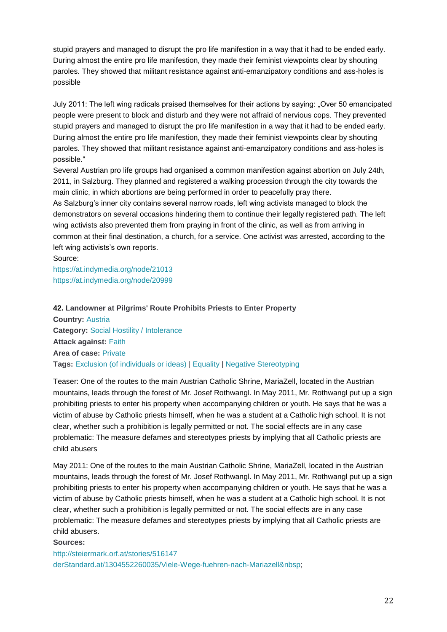stupid prayers and managed to disrupt the pro life manifestion in a way that it had to be ended early. During almost the entire pro life manifestion, they made their feminist viewpoints clear by shouting paroles. They showed that militant resistance against anti-emanzipatory conditions and ass-holes is possible

July 2011: The left wing radicals praised themselves for their actions by saying: "Over 50 emancipated people were present to block and disturb and they were not affraid of nervious cops. They prevented stupid prayers and managed to disrupt the pro life manifestion in a way that it had to be ended early. During almost the entire pro life manifestion, they made their feminist viewpoints clear by shouting paroles. They showed that militant resistance against anti-emanzipatory conditions and ass-holes is possible."

Several Austrian pro life groups had organised a common manifestion against abortion on July 24th, 2011, in Salzburg. They planned and registered a walking procession through the city towards the main clinic, in which abortions are being performed in order to peacefully pray there. As Salzburg's inner city contains several narrow roads, left wing activists managed to block the

demonstrators on several occasions hindering them to continue their legally registered path. The left wing activists also prevented them from praying in front of the clinic, as well as from arriving in common at their final destination, a church, for a service. One activist was arrested, according to the left wing activists's own reports.

Source: <https://at.indymedia.org/node/21013> <https://at.indymedia.org/node/20999>

## **42. Landowner at Pilgrims' Route Prohibits Priests to Enter Property**

**Country:** [Austria](http://www.intoleranceagainstchristians.eu/case.html?user_extmininews_pi1%5Bcountryid%5D=2) **Category:** [Social Hostility / Intolerance](http://www.intoleranceagainstchristians.eu/case.html?user_extmininews_pi1%5Bfiltertype%5D=0&user_extmininews_pi1%5Bfilteruid%5D=1) **Attack against:** [Faith](http://www.intoleranceagainstchristians.eu/case.html?user_extmininews_pi1%5Bfiltertype%5D=1&user_extmininews_pi1%5Bfilteruid%5D=1) **Area of case:** [Private](http://www.intoleranceagainstchristians.eu/case.html?user_extmininews_pi1%5Bfiltertype%5D=2&user_extmininews_pi1%5Bfilteruid%5D=2) **Tags:** [Exclusion \(of individuals or ideas\)](http://www.intoleranceagainstchristians.eu/case.html?user_extmininews_pi1%5Bfiltertype%5D=3&user_extmininews_pi1%5Bfilteruid%5D=23) | [Equality](http://www.intoleranceagainstchristians.eu/case.html?user_extmininews_pi1%5Bfiltertype%5D=3&user_extmininews_pi1%5Bfilteruid%5D=3) | [Negative Stereotyping](http://www.intoleranceagainstchristians.eu/case.html?user_extmininews_pi1%5Bfiltertype%5D=3&user_extmininews_pi1%5Bfilteruid%5D=16)

Teaser: One of the routes to the main Austrian Catholic Shrine, MariaZell, located in the Austrian mountains, leads through the forest of Mr. Josef Rothwangl. In May 2011, Mr. Rothwangl put up a sign prohibiting priests to enter his property when accompanying children or youth. He says that he was a victim of abuse by Catholic priests himself, when he was a student at a Catholic high school. It is not clear, whether such a prohibition is legally permitted or not. The social effects are in any case problematic: The measure defames and stereotypes priests by implying that all Catholic priests are child abusers

May 2011: One of the routes to the main Austrian Catholic Shrine, MariaZell, located in the Austrian mountains, leads through the forest of Mr. Josef Rothwangl. In May 2011, Mr. Rothwangl put up a sign prohibiting priests to enter his property when accompanying children or youth. He says that he was a victim of abuse by Catholic priests himself, when he was a student at a Catholic high school. It is not clear, whether such a prohibition is legally permitted or not. The social effects are in any case problematic: The measure defames and stereotypes priests by implying that all Catholic priests are child abusers.

#### **Sources:**

<http://steiermark.orf.at/stories/516147> [derStandard.at/1304552260035/Viele-Wege-fuehren-nach-Mariazell](http://derstandard.at/1304552260035/Viele-Wege-fuehren-nach-Mariazell )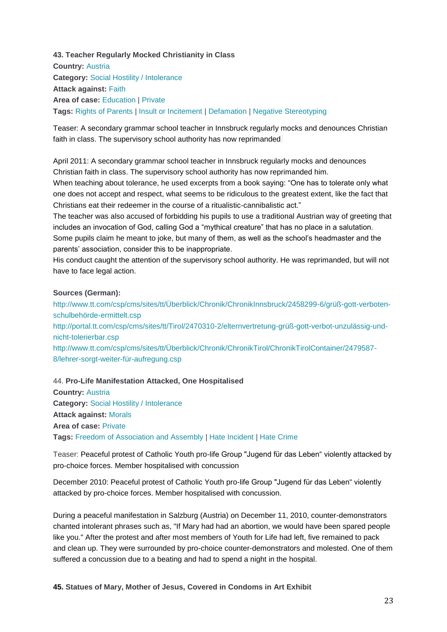**43. Teacher Regularly Mocked Christianity in Class Country:** [Austria](http://www.intoleranceagainstchristians.eu/case.html?user_extmininews_pi1%5Bcountryid%5D=2) **Category:** [Social Hostility](http://www.intoleranceagainstchristians.eu/case.html?user_extmininews_pi1%5Bfiltertype%5D=0&user_extmininews_pi1%5Bfilteruid%5D=1) / Intolerance **Attack against:** [Faith](http://www.intoleranceagainstchristians.eu/case.html?user_extmininews_pi1%5Bfiltertype%5D=1&user_extmininews_pi1%5Bfilteruid%5D=1) **Area of case:** [Education](http://www.intoleranceagainstchristians.eu/case.html?user_extmininews_pi1%5Bfiltertype%5D=2&user_extmininews_pi1%5Bfilteruid%5D=7) | [Private](http://www.intoleranceagainstchristians.eu/case.html?user_extmininews_pi1%5Bfiltertype%5D=2&user_extmininews_pi1%5Bfilteruid%5D=2) **Tags:** [Rights of Parents](http://www.intoleranceagainstchristians.eu/case.html?user_extmininews_pi1%5Bfiltertype%5D=3&user_extmininews_pi1%5Bfilteruid%5D=10) | [Insult or Incitement](http://www.intoleranceagainstchristians.eu/case.html?user_extmininews_pi1%5Bfiltertype%5D=3&user_extmininews_pi1%5Bfilteruid%5D=15) | [Defamation](http://www.intoleranceagainstchristians.eu/case.html?user_extmininews_pi1%5Bfiltertype%5D=3&user_extmininews_pi1%5Bfilteruid%5D=11) | [Negative Stereotyping](http://www.intoleranceagainstchristians.eu/case.html?user_extmininews_pi1%5Bfiltertype%5D=3&user_extmininews_pi1%5Bfilteruid%5D=16)

Teaser: A secondary grammar school teacher in Innsbruck regularly mocks and denounces Christian faith in class. The supervisory school authority has now reprimanded

April 2011: A secondary grammar school teacher in Innsbruck regularly mocks and denounces Christian faith in class. The supervisory school authority has now reprimanded him.

When teaching about tolerance, he used excerpts from a book saying: "One has to tolerate only what one does not accept and respect, what seems to be ridiculous to the greatest extent, like the fact that Christians eat their redeemer in the course of a ritualistic-cannibalistic act."

The teacher was also accused of forbidding his pupils to use a traditional Austrian way of greeting that includes an invocation of God, calling God a "mythical creature" that has no place in a salutation. Some pupils claim he meant to joke, but many of them, as well as the school's headmaster and the parents' association, consider this to be inappropriate.

His conduct caught the attention of the supervisory school authority. He was reprimanded, but will not have to face legal action.

#### **Sources (German):**

[http://www.tt.com/csp/cms/sites/tt/Überblick/Chronik/ChronikInnsbruck/2458299-6/grüß-gott-verboten](http://www.tt.com/csp/cms/sites/tt/%C3%9Cberblick/Chronik/ChronikInnsbruck/2458299-6/gr%C3%BC%C3%9F-gott-verboten-schulbeh%C3%B6rde-ermittelt.csp)[schulbehörde-ermittelt.csp](http://www.tt.com/csp/cms/sites/tt/%C3%9Cberblick/Chronik/ChronikInnsbruck/2458299-6/gr%C3%BC%C3%9F-gott-verboten-schulbeh%C3%B6rde-ermittelt.csp) [http://portal.tt.com/csp/cms/sites/tt/Tirol/2470310-2/elternvertretung-grüß-gott-verbot-unzulässig-und](http://portal.tt.com/csp/cms/sites/tt/Tirol/2470310-2/elternvertretung-gr%C3%BC%C3%9F-gott-verbot-unzul%C3%A4ssig-und-nicht-tolerierbar.csp)[nicht-tolerierbar.csp](http://portal.tt.com/csp/cms/sites/tt/Tirol/2470310-2/elternvertretung-gr%C3%BC%C3%9F-gott-verbot-unzul%C3%A4ssig-und-nicht-tolerierbar.csp) [http://www.tt.com/csp/cms/sites/tt/Überblick/Chronik/ChronikTirol/ChronikTirolContainer/2479587-](http://www.tt.com/csp/cms/sites/tt/%C3%9Cberblick/Chronik/ChronikTirol/ChronikTirolContainer/2479587-8/lehrer-sorgt-weiter-f%C3%BCr-aufregung.csp) [8/lehrer-sorgt-weiter-für-aufregung.csp](http://www.tt.com/csp/cms/sites/tt/%C3%9Cberblick/Chronik/ChronikTirol/ChronikTirolContainer/2479587-8/lehrer-sorgt-weiter-f%C3%BCr-aufregung.csp)

44. **Pro-Life Manifestation Attacked, One Hospitalised**

**Country:** [Austria](http://www.intoleranceagainstchristians.eu/case.html?user_extmininews_pi1%5Bcountryid%5D=2) **Category:** [Social Hostility / Intolerance](http://www.intoleranceagainstchristians.eu/case.html?user_extmininews_pi1%5Bfiltertype%5D=0&user_extmininews_pi1%5Bfilteruid%5D=1) **Attack against:** [Morals](http://www.intoleranceagainstchristians.eu/case.html?user_extmininews_pi1%5Bfiltertype%5D=1&user_extmininews_pi1%5Bfilteruid%5D=2) **Area of case:** [Private](http://www.intoleranceagainstchristians.eu/case.html?user_extmininews_pi1%5Bfiltertype%5D=2&user_extmininews_pi1%5Bfilteruid%5D=2) **Tags:** [Freedom of Association and Assembly](http://www.intoleranceagainstchristians.eu/case.html?user_extmininews_pi1%5Bfiltertype%5D=3&user_extmininews_pi1%5Bfilteruid%5D=21) | [Hate Incident](http://www.intoleranceagainstchristians.eu/case.html?user_extmininews_pi1%5Bfiltertype%5D=3&user_extmininews_pi1%5Bfilteruid%5D=13) | [Hate Crime](http://www.intoleranceagainstchristians.eu/case.html?user_extmininews_pi1%5Bfiltertype%5D=3&user_extmininews_pi1%5Bfilteruid%5D=14)

Teaser: Peaceful protest of Catholic Youth pro-life Group "Jugend für das Leben" violently attacked by pro-choice forces. Member hospitalised with concussion

December 2010: Peaceful protest of Catholic Youth pro-life Group "Jugend für das Leben" violently attacked by pro-choice forces. Member hospitalised with concussion.

During a peaceful manifestation in Salzburg (Austria) on December 11, 2010, counter-demonstrators chanted intolerant phrases such as, "If Mary had had an abortion, we would have been spared people like you." After the protest and after most members of Youth for Life had left, five remained to pack and clean up. They were surrounded by pro-choice counter-demonstrators and molested. One of them suffered a concussion due to a beating and had to spend a night in the hospital.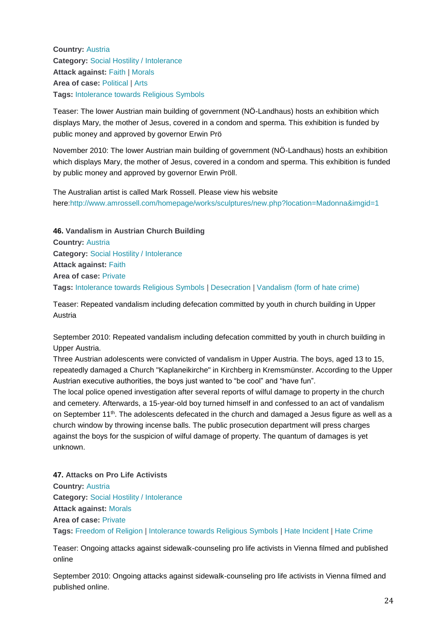**Country:** [Austria](http://www.intoleranceagainstchristians.eu/case.html?user_extmininews_pi1%5Bcountryid%5D=2) **Category:** [Social Hostility / Intolerance](http://www.intoleranceagainstchristians.eu/case.html?user_extmininews_pi1%5Bfiltertype%5D=0&user_extmininews_pi1%5Bfilteruid%5D=1) **Attack against:** [Faith](http://www.intoleranceagainstchristians.eu/case.html?user_extmininews_pi1%5Bfiltertype%5D=1&user_extmininews_pi1%5Bfilteruid%5D=1) | [Morals](http://www.intoleranceagainstchristians.eu/case.html?user_extmininews_pi1%5Bfiltertype%5D=1&user_extmininews_pi1%5Bfilteruid%5D=2) **Area of case:** [Political](http://www.intoleranceagainstchristians.eu/case.html?user_extmininews_pi1%5Bfiltertype%5D=2&user_extmininews_pi1%5Bfilteruid%5D=3) | [Arts](http://www.intoleranceagainstchristians.eu/case.html?user_extmininews_pi1%5Bfiltertype%5D=2&user_extmininews_pi1%5Bfilteruid%5D=6) **Tags:** [Intolerance towards Religious Symbols](http://www.intoleranceagainstchristians.eu/case.html?user_extmininews_pi1%5Bfiltertype%5D=3&user_extmininews_pi1%5Bfilteruid%5D=8)

Teaser: The lower Austrian main building of government (NÖ-Landhaus) hosts an exhibition which displays Mary, the mother of Jesus, covered in a condom and sperma. This exhibition is funded by public money and approved by governor Erwin Prö

November 2010: The lower Austrian main building of government (NÖ-Landhaus) hosts an exhibition which displays Mary, the mother of Jesus, covered in a condom and sperma. This exhibition is funded by public money and approved by governor Erwin Pröll.

The Australian artist is called Mark Rossell. Please view his website here[:http://www.amrossell.com/homepage/works/sculptures/new.php?location=Madonna&imgid=1](http://www.amrossell.com/homepage/works/sculptures/new.php?location=Madonna&imgid=1)

**46. Vandalism in Austrian Church Building Country:** [Austria](http://www.intoleranceagainstchristians.eu/case.html?user_extmininews_pi1%5Bcountryid%5D=2) **Category:** [Social Hostility / Intolerance](http://www.intoleranceagainstchristians.eu/case.html?user_extmininews_pi1%5Bfiltertype%5D=0&user_extmininews_pi1%5Bfilteruid%5D=1) **Attack against:** [Faith](http://www.intoleranceagainstchristians.eu/case.html?user_extmininews_pi1%5Bfiltertype%5D=1&user_extmininews_pi1%5Bfilteruid%5D=1) **Area of case:** [Private](http://www.intoleranceagainstchristians.eu/case.html?user_extmininews_pi1%5Bfiltertype%5D=2&user_extmininews_pi1%5Bfilteruid%5D=2) **Tags:** [Intolerance towards Religious Symbols](http://www.intoleranceagainstchristians.eu/case.html?user_extmininews_pi1%5Bfiltertype%5D=3&user_extmininews_pi1%5Bfilteruid%5D=8) | [Desecration](http://www.intoleranceagainstchristians.eu/case.html?user_extmininews_pi1%5Bfiltertype%5D=3&user_extmininews_pi1%5Bfilteruid%5D=12) | [Vandalism \(form of hate crime\)](http://www.intoleranceagainstchristians.eu/case.html?user_extmininews_pi1%5Bfiltertype%5D=3&user_extmininews_pi1%5Bfilteruid%5D=20)

Teaser: Repeated vandalism including defecation committed by youth in church building in Upper Austria

September 2010: Repeated vandalism including defecation committed by youth in church building in Upper Austria.

Three Austrian adolescents were convicted of vandalism in Upper Austria. The boys, aged 13 to 15, repeatedly damaged a Church "Kaplaneikirche" in Kirchberg in Kremsmünster. According to the Upper Austrian executive authorities, the boys just wanted to "be cool" and "have fun".

The local police opened investigation after several reports of wilful damage to property in the church and cemetery. Afterwards, a 15-year-old boy turned himself in and confessed to an act of vandalism on September 11<sup>th</sup>. The adolescents defecated in the church and damaged a Jesus figure as well as a church window by throwing incense balls. The public prosecution department will press charges against the boys for the suspicion of wilful damage of property. The quantum of damages is yet unknown.

## **47. Attacks on Pro Life Activists**

**Country:** [Austria](http://www.intoleranceagainstchristians.eu/case.html?user_extmininews_pi1%5Bcountryid%5D=2) **Category:** [Social Hostility / Intolerance](http://www.intoleranceagainstchristians.eu/case.html?user_extmininews_pi1%5Bfiltertype%5D=0&user_extmininews_pi1%5Bfilteruid%5D=1) **Attack against:** [Morals](http://www.intoleranceagainstchristians.eu/case.html?user_extmininews_pi1%5Bfiltertype%5D=1&user_extmininews_pi1%5Bfilteruid%5D=2) **Area of case:** [Private](http://www.intoleranceagainstchristians.eu/case.html?user_extmininews_pi1%5Bfiltertype%5D=2&user_extmininews_pi1%5Bfilteruid%5D=2) **Tags:** [Freedom of Religion](http://www.intoleranceagainstchristians.eu/case.html?user_extmininews_pi1%5Bfiltertype%5D=3&user_extmininews_pi1%5Bfilteruid%5D=5) | [Intolerance towards Religious Symbols](http://www.intoleranceagainstchristians.eu/case.html?user_extmininews_pi1%5Bfiltertype%5D=3&user_extmininews_pi1%5Bfilteruid%5D=8) | [Hate Incident](http://www.intoleranceagainstchristians.eu/case.html?user_extmininews_pi1%5Bfiltertype%5D=3&user_extmininews_pi1%5Bfilteruid%5D=13) | [Hate Crime](http://www.intoleranceagainstchristians.eu/case.html?user_extmininews_pi1%5Bfiltertype%5D=3&user_extmininews_pi1%5Bfilteruid%5D=14)

Teaser: Ongoing attacks against sidewalk-counseling pro life activists in Vienna filmed and published online

September 2010: Ongoing attacks against sidewalk-counseling pro life activists in Vienna filmed and published online.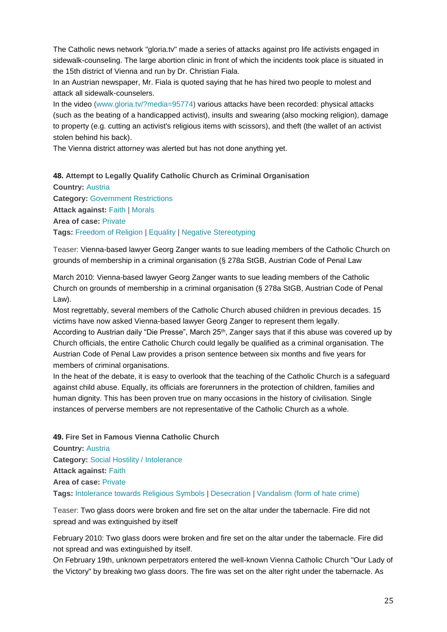The Catholic news network "gloria.tv" made a series of attacks against pro life activists engaged in sidewalk-counseling. The large abortion clinic in front of which the incidents took place is situated in the 15th district of Vienna and run by Dr. Christian Fiala.

In an Austrian newspaper, Mr. Fiala is quoted saying that he has hired two people to molest and attack all sidewalk-counselers.

In the video [\(www.gloria.tv/?media=95774\)](http://www.gloria.tv/?media=95774)) various attacks have been recorded: physical attacks (such as the beating of a handicapped activist), insults and swearing (also mocking religion), damage to property (e.g. cutting an activist's religious items with scissors), and theft (the wallet of an activist stolen behind his back).

The Vienna district attorney was alerted but has not done anything yet.

**48. Attempt to Legally Qualify Catholic Church as Criminal Organisation**

**Country:** [Austria](http://www.intoleranceagainstchristians.eu/case.html?user_extmininews_pi1%5Bcountryid%5D=2) **Category:** [Government Restrictions](http://www.intoleranceagainstchristians.eu/case.html?user_extmininews_pi1%5Bfiltertype%5D=0&user_extmininews_pi1%5Bfilteruid%5D=2) **Attack against:** [Faith](http://www.intoleranceagainstchristians.eu/case.html?user_extmininews_pi1%5Bfiltertype%5D=1&user_extmininews_pi1%5Bfilteruid%5D=1) | [Morals](http://www.intoleranceagainstchristians.eu/case.html?user_extmininews_pi1%5Bfiltertype%5D=1&user_extmininews_pi1%5Bfilteruid%5D=2) **Area of case:** [Private](http://www.intoleranceagainstchristians.eu/case.html?user_extmininews_pi1%5Bfiltertype%5D=2&user_extmininews_pi1%5Bfilteruid%5D=2) **Tags:** [Freedom of Religion](http://www.intoleranceagainstchristians.eu/case.html?user_extmininews_pi1%5Bfiltertype%5D=3&user_extmininews_pi1%5Bfilteruid%5D=5) | [Equality](http://www.intoleranceagainstchristians.eu/case.html?user_extmininews_pi1%5Bfiltertype%5D=3&user_extmininews_pi1%5Bfilteruid%5D=3) | [Negative Stereotyping](http://www.intoleranceagainstchristians.eu/case.html?user_extmininews_pi1%5Bfiltertype%5D=3&user_extmininews_pi1%5Bfilteruid%5D=16)

Teaser: Vienna-based lawyer Georg Zanger wants to sue leading members of the Catholic Church on grounds of membership in a criminal organisation (§ 278a StGB, Austrian Code of Penal Law

March 2010: Vienna-based lawyer Georg Zanger wants to sue leading members of the Catholic Church on grounds of membership in a criminal organisation (§ 278a StGB, Austrian Code of Penal Law).

Most regrettably, several members of the Catholic Church abused children in previous decades. 15 victims have now asked Vienna-based lawyer Georg Zanger to represent them legally.

According to Austrian daily "Die Presse", March 25<sup>th</sup>, Zanger says that if this abuse was covered up by Church officials, the entire Catholic Church could legally be qualified as a criminal organisation. The Austrian Code of Penal Law provides a prison sentence between six months and five years for members of criminal organisations.

In the heat of the debate, it is easy to overlook that the teaching of the Catholic Church is a safeguard against child abuse. Equally, its officials are forerunners in the protection of children, families and human dignity. This has been proven true on many occasions in the history of civilisation. Single instances of perverse members are not representative of the Catholic Church as a whole.

**49. Fire Set in Famous Vienna Catholic Church**

**Country:** [Austria](http://www.intoleranceagainstchristians.eu/case.html?user_extmininews_pi1%5Bcountryid%5D=2) **Category:** [Social Hostility / Intolerance](http://www.intoleranceagainstchristians.eu/case.html?user_extmininews_pi1%5Bfiltertype%5D=0&user_extmininews_pi1%5Bfilteruid%5D=1) **Attack against:** [Faith](http://www.intoleranceagainstchristians.eu/case.html?user_extmininews_pi1%5Bfiltertype%5D=1&user_extmininews_pi1%5Bfilteruid%5D=1) **Area of case:** [Private](http://www.intoleranceagainstchristians.eu/case.html?user_extmininews_pi1%5Bfiltertype%5D=2&user_extmininews_pi1%5Bfilteruid%5D=2) **Tags:** [Intolerance towards Religious Symbols](http://www.intoleranceagainstchristians.eu/case.html?user_extmininews_pi1%5Bfiltertype%5D=3&user_extmininews_pi1%5Bfilteruid%5D=8) | [Desecration](http://www.intoleranceagainstchristians.eu/case.html?user_extmininews_pi1%5Bfiltertype%5D=3&user_extmininews_pi1%5Bfilteruid%5D=12) | [Vandalism \(form of hate crime\)](http://www.intoleranceagainstchristians.eu/case.html?user_extmininews_pi1%5Bfiltertype%5D=3&user_extmininews_pi1%5Bfilteruid%5D=20)

Teaser: Two glass doors were broken and fire set on the altar under the tabernacle. Fire did not spread and was extinguished by itself

February 2010: Two glass doors were broken and fire set on the altar under the tabernacle. Fire did not spread and was extinguished by itself.

On February 19th, unknown perpetrators entered the well-known Vienna Catholic Church "Our Lady of the Victory" by breaking two glass doors. The fire was set on the alter right under the tabernacle. As